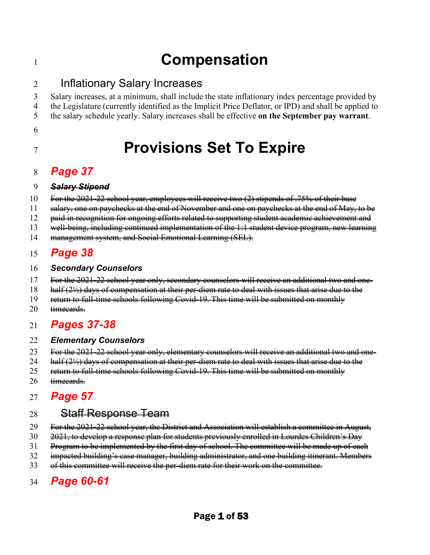# <sup>1</sup>**Compensation**

### 2 Inflationary Salary Increases

3 Salary increases, at a minimum, shall include the state inflationary index percentage provided by 4 the Legislature (currently identified as the Implicit Price Deflator, or IPD) and shall be applied to 5 the salary schedule yearly. Salary increases shall be effective **on the September pay warrant**.

6

# <sup>7</sup>**Provisions Set To Expire**

### 8 *Page 37*

#### 9 *Salary Stipend*

- 10 For the 2021-22 school year, employees will receive two (2) stipends of .75% of their base
- 11 salary, one on paychecks at the end of November and one on paychecks at the end of May, to be
- 12 paid in recognition for ongoing efforts related to supporting student academic achievement and
- 13 well-being, including continued implementation of the 1:1 student device program, new learning
- 14 management system, and Social Emotional Learning (SEL).

### 15 *Page 38*

#### 16 *Secondary Counselors*

- 17 For the 2021-22 school year only, secondary counselors will receive an additional two and one-
- 18 half (2½) days of compensation at their per-diem rate to deal with issues that arise due to the
- 19 return to full-time schools following Covid-19. This time will be submitted on monthly
- 20 timecards.

### 21 *Pages 37-38*

#### 22 *Elementary Counselors*

- 23 For the 2021-22 school year only, elementary counselors will receive an additional two and one-
- 24 half  $(2\frac{1}{2})$  days of compensation at their per-diem rate to deal with issues that arise due to the
- 25 return to full-time schools following Covid-19. This time will be submitted on monthly
- 26 timecards.

# 27 *Page 57*

### 28 <del>Staff Response Team</del>

- 29 For the 2021-22 school year, the District and Association will establish a committee in August,
- 30 2021, to develop a response plan for students previously enrolled in Lourdes Children's Day
- 31 Program to be implemented by the first day of school. The committee will be made up of each
- 32 impacted building's case manager, building administrator, and one building itinerant. Members
- 33 of this committee will receive the per-diem rate for their work on the committee.

# 34 *Page 60-61*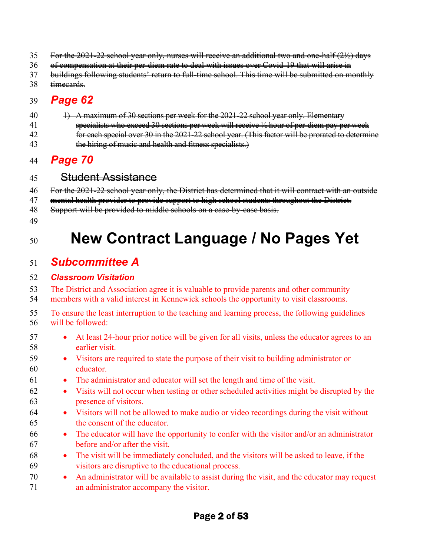- 35 For the 2021-22 school year only, nurses will receive an additional two and one-half (2½) days
- 36 of compensation at their per-diem rate to deal with issues over Covid-19 that will arise in
- 37 buildings following students' return to full-time school. This time will be submitted on monthly
- 38 timecards.

### 39 *Page 62*

40 1) A maximum of 30 sections per week for the 2021-22 school year only. Elementary 41 specialists who exceed 30 sections per week will receive ½ hour of per-diem pay per week 42 **for each special over 30 in the 2021-22 school year. (This factor will be prorated to determine** 43 the hiring of music and health and fitness specialists.

### 44 *Page 70*

45 Student Assistance

46 For the 2021-22 school year only, the District has determined that it will contract with an outside

- 47 mental health provider to provide support to high school students throughout the District.
- 48 Support will be provided to middle schools on a case-by-case basis.
- 49

# <sup>50</sup>**New Contract Language / No Pages Yet**

### 51 *Subcommittee A*

#### 52 *Classroom Visitation*

53 The District and Association agree it is valuable to provide parents and other community 54 members with a valid interest in Kennewick schools the opportunity to visit classrooms.

- 55 To ensure the least interruption to the teaching and learning process, the following guidelines 56 will be followed:
- 57 At least 24-hour prior notice will be given for all visits, unless the educator agrees to an 58 earlier visit.
- 59 Visitors are required to state the purpose of their visit to building administrator or 60 educator.
- 61 The administrator and educator will set the length and time of the visit.
- 62 Visits will not occur when testing or other scheduled activities might be disrupted by the 63 presence of visitors.
- 64 Visitors will not be allowed to make audio or video recordings during the visit without 65 the consent of the educator.
- 66 The educator will have the opportunity to confer with the visitor and/or an administrator 67 before and/or after the visit.
- 68 The visit will be immediately concluded, and the visitors will be asked to leave, if the 69 visitors are disruptive to the educational process.
- 70 An administrator will be available to assist during the visit, and the educator may request 71 an administrator accompany the visitor.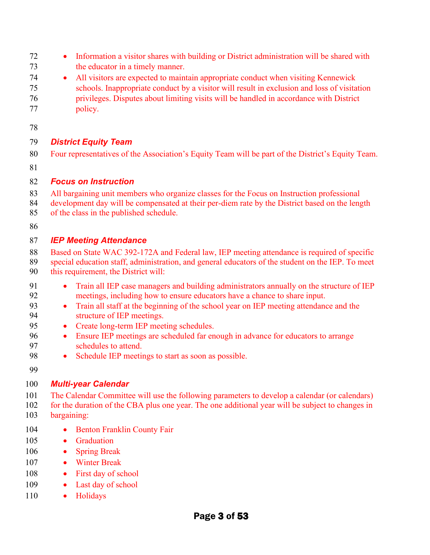- Information a visitor shares with building or District administration will be shared with the educator in a timely manner.
- All visitors are expected to maintain appropriate conduct when visiting Kennewick schools. Inappropriate conduct by a visitor will result in exclusion and loss of visitation privileges. Disputes about limiting visits will be handled in accordance with District policy.
- 

#### *District Equity Team*

- 80 Four representatives of the Association's Equity Team will be part of the District's Equity Team.
- 

#### *Focus on Instruction*

- All bargaining unit members who organize classes for the Focus on Instruction professional
- development day will be compensated at their per-diem rate by the District based on the length
- of the class in the published schedule.
- 

#### *IEP Meeting Attendance*

- 88 Based on State WAC 392-172A and Federal law, IEP meeting attendance is required of specific
- special education staff, administration, and general educators of the student on the IEP. To meet this requirement, the District will:
- Train all IEP case managers and building administrators annually on the structure of IEP meetings, including how to ensure educators have a chance to share input.
- Train all staff at the beginning of the school year on IEP meeting attendance and the structure of IEP meetings.
- 95 Create long-term IEP meeting schedules.
- Ensure IEP meetings are scheduled far enough in advance for educators to arrange schedules to attend.
- Schedule IEP meetings to start as soon as possible.
- 

#### *Multi-year Calendar*

- The Calendar Committee will use the following parameters to develop a calendar (or calendars) for the duration of the CBA plus one year. The one additional year will be subject to changes in
- bargaining:
- 104 Benton Franklin County Fair
- 105 Graduation
- Spring Break
- Winter Break
- 108 First day of school
- 109 Last day of school
- 110 Holidays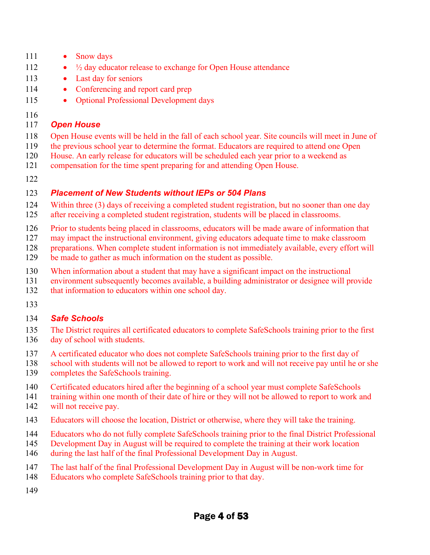- 111 Snow days
- 112 <sup>1</sup>/<sub>2</sub> day educator release to exchange for Open House attendance
- 113 Last day for seniors
- 114 Conferencing and report card prep
- 115 Optional Professional Development days
- 

#### *Open House*

- Open House events will be held in the fall of each school year. Site councils will meet in June of
- the previous school year to determine the format. Educators are required to attend one Open
- House. An early release for educators will be scheduled each year prior to a weekend as
- compensation for the time spent preparing for and attending Open House.
- 

#### *Placement of New Students without IEPs or 504 Plans*

- Within three (3) days of receiving a completed student registration, but no sooner than one day
- after receiving a completed student registration, students will be placed in classrooms.
- Prior to students being placed in classrooms, educators will be made aware of information that
- 127 may impact the instructional environment, giving educators adequate time to make classroom
- 128 preparations. When complete student information is not immediately available, every effort will
- 129 be made to gather as much information on the student as possible.
- When information about a student that may have a significant impact on the instructional
- environment subsequently becomes available, a building administrator or designee will provide
- that information to educators within one school day.
- 

#### *Safe Schools*

- The District requires all certificated educators to complete SafeSchools training prior to the first day of school with students.
- A certificated educator who does not complete SafeSchools training prior to the first day of
- school with students will not be allowed to report to work and will not receive pay until he or she completes the SafeSchools training.
- Certificated educators hired after the beginning of a school year must complete SafeSchools
- training within one month of their date of hire or they will not be allowed to report to work and
- 142 will not receive pay.
- Educators will choose the location, District or otherwise, where they will take the training.
- Educators who do not fully complete SafeSchools training prior to the final District Professional
- Development Day in August will be required to complete the training at their work location
- during the last half of the final Professional Development Day in August.
- The last half of the final Professional Development Day in August will be non-work time for
- Educators who complete SafeSchools training prior to that day.
-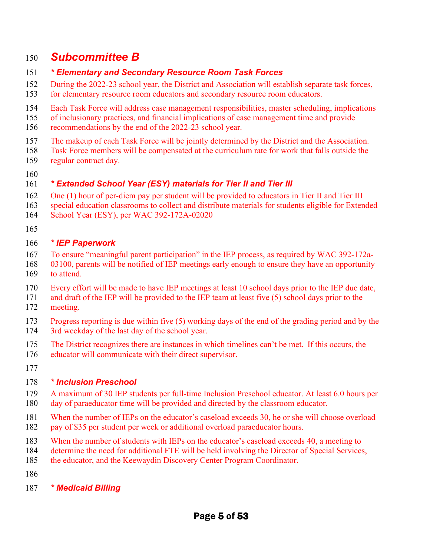### 150 *Subcommittee B*

#### 151 *\* Elementary and Secondary Resource Room Task Forces*

- 152 During the 2022-23 school year, the District and Association will establish separate task forces,
- 153 for elementary resource room educators and secondary resource room educators.
- 154 Each Task Force will address case management responsibilities, master scheduling, implications
- 155 of inclusionary practices, and financial implications of case management time and provide
- 156 recommendations by the end of the 2022-23 school year.
- 157 The makeup of each Task Force will be jointly determined by the District and the Association.
- 158 Task Force members will be compensated at the curriculum rate for work that falls outside the 159 regular contract day.
- 160

#### 161 *\* Extended School Year (ESY) materials for Tier II and Tier III*

- 162 One (1) hour of per-diem pay per student will be provided to educators in Tier II and Tier III
- 163 special education classrooms to collect and distribute materials for students eligible for Extended
- 164 School Year (ESY), per WAC 392-172A-02020
- 165

#### 166 *\* IEP Paperwork*

- 167 To ensure "meaningful parent participation" in the IEP process, as required by WAC 392-172a-
- 168 03100, parents will be notified of IEP meetings early enough to ensure they have an opportunity 169 to attend.
- 170 Every effort will be made to have IEP meetings at least 10 school days prior to the IEP due date,
- 171 and draft of the IEP will be provided to the IEP team at least five (5) school days prior to the 172 meeting.
- 173 Progress reporting is due within five (5) working days of the end of the grading period and by the 174 3rd weekday of the last day of the school year.
- 175 The District recognizes there are instances in which timelines can't be met.  If this occurs, the
- 176 educator will communicate with their direct supervisor.
- 177

#### 178 *\* Inclusion Preschool*

- 179 A maximum of 30 IEP students per full-time Inclusion Preschool educator. At least 6.0 hours per 180 day of paraeducator time will be provided and directed by the classroom educator.
- 181 When the number of IEPs on the educator's caseload exceeds 30, he or she will choose overload
- 182 pay of \$35 per student per week or additional overload paraeducator hours.
- 183 When the number of students with IEPs on the educator's caseload exceeds 40, a meeting to
- 184 determine the need for additional FTE will be held involving the Director of Special Services,
- 185 the educator, and the Keewaydin Discovery Center Program Coordinator.
- 186
- 187 *\* Medicaid Billing*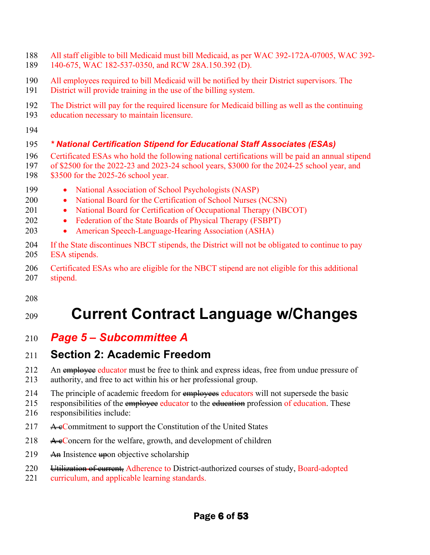- 188 All staff eligible to bill Medicaid must bill Medicaid, as per WAC 392-172A-07005, WAC 392-
- 189 140-675, WAC 182-537-0350, and RCW 28A.150.392 (D).
- 190 All employees required to bill Medicaid will be notified by their District supervisors. The
- 191 District will provide training in the use of the billing system.
- 192 The District will pay for the required licensure for Medicaid billing as well as the continuing
- 193 education necessary to maintain licensure.
- 194

# 195 *\* National Certification Stipend for Educational Staff Associates (ESAs)*

- 196 Certificated ESAs who hold the following national certifications will be paid an annual stipend 197 of \$2500 for the 2022-23 and 2023-24 school years, \$3000 for the 2024-25 school year, and 198 \$3500 for the 2025-26 school year.
- 199 National Association of School Psychologists (NASP)
- 200 National Board for the Certification of School Nurses (NCSN)
- 201 National Board for Certification of Occupational Therapy (NBCOT)
- 202 Federation of the State Boards of Physical Therapy (FSBPT)
- 203 American Speech-Language-Hearing Association (ASHA)
- 204 If the State discontinues NBCT stipends, the District will not be obligated to continue to pay 205 ESA stipends.
- 206 Certificated ESAs who are eligible for the NBCT stipend are not eligible for this additional 207 stipend.
- 208

# <sup>209</sup>**Current Contract Language w/Changes**

210 *Page 5 – Subcommittee A*

# 211 **Section 2: Academic Freedom**

- 212 An employee educator must be free to think and express ideas, free from undue pressure of
- 213 authority, and free to act within his or her professional group.
- 214 The principle of academic freedom for employees educators will not supersede the basic
- 215 responsibilities of the employee educator to the education profession of education. These 216 responsibilities include:
- 217  $\rightarrow$  A  $\rightarrow$  Commitment to support the Constitution of the United States
- 218  $\rightarrow$   $\leftarrow$   $\leftarrow$   $\leftarrow$   $\leftarrow$   $\leftarrow$   $\leftarrow$   $\leftarrow$   $\leftarrow$   $\leftarrow$   $\leftarrow$   $\leftarrow$   $\leftarrow$   $\leftarrow$   $\leftarrow$   $\leftarrow$   $\leftarrow$   $\leftarrow$   $\leftarrow$   $\leftarrow$   $\leftarrow$   $\leftarrow$   $\leftarrow$   $\leftarrow$   $\leftarrow$   $\leftarrow$   $\leftarrow$   $\leftarrow$   $\leftarrow$   $\leftarrow$   $\leftarrow$   $\leftarrow$   $\leftarrow$   $\leftarrow$   $\leftarrow$   $\leftarrow$   $\$
- 219 An Insistence upon objective scholarship
- 220 <del>Utilization of current,</del> Adherence to District-authorized courses of study, Board-adopted
- 221 curriculum, and applicable learning standards.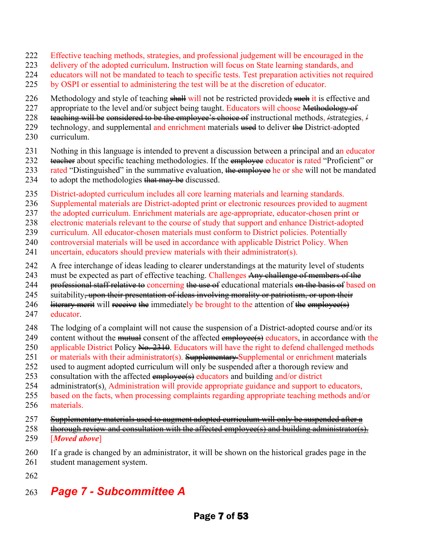- 222 Effective teaching methods, strategies, and professional judgement will be encouraged in the
- 223 delivery of the adopted curriculum. Instruction will focus on State learning standards, and
- 224 educators will not be mandated to teach to specific tests. Test preparation activities not required
- 225 by OSPI or essential to administering the test will be at the discretion of educator.
- 226 Methodology and style of teaching shall will not be restricted provided; such it is effective and
- 227 appropriate to the level and/or subject being taught. Educators will choose Methodology of
- 228 teaching will be considered to be the employee's choice of instructional methods,  $\frac{1}{2}$  strategies,  $\frac{1}{2}$
- 229 technology, and supplemental and enrichment materials used to deliver the District-adopted
- 230 curriculum.
- 231 Nothing in this language is intended to prevent a discussion between a principal and an educator
- 232 teacher about specific teaching methodologies. If the employee educator is rated "Proficient" or
- 233 rated "Distinguished" in the summative evaluation, the employee he or she will not be mandated
- 234 to adopt the methodologies  $\frac{1}{4}$  may be discussed.
- 235 District-adopted curriculum includes all core learning materials and learning standards.
- 236 Supplemental materials are District-adopted print or electronic resources provided to augment
- 237 the adopted curriculum. Enrichment materials are age-appropriate, educator-chosen print or
- 238 electronic materials relevant to the course of study that support and enhance District-adopted
- 239 curriculum. All educator-chosen materials must conform to District policies. Potentially
- 240 controversial materials will be used in accordance with applicable District Policy. When
- 241 uncertain, educators should preview materials with their administrator(s).
- 242 A free interchange of ideas leading to clearer understandings at the maturity level of students
- 243 must be expected as part of effective teaching. Challenges Any challenge of members of the
- 244 professional staff relative to concerning the use of educational materials on the basis of based on
- 245 suitability<del>, upon their presentation of ideas involving morality or patriotism, or upon their</del>
- 246 literary merit will receive the immediately be brought to the attention of the employee(s) 247 educator.
- 248 The lodging of a complaint will not cause the suspension of a District-adopted course and/or its
- 249 content without the mutual consent of the affected employee(s) educators, in accordance with the
- 250 applicable District Policy No. 2310. Educators will have the right to defend challenged methods
- 251 or materials with their administrator(s). Supplementary Supplemental or enrichment materials
- 252 used to augment adopted curriculum will only be suspended after a thorough review and
- 253 consultation with the affected  $\frac{empt{e}}{empt{e}}$  educators and building and/or district
- 254 administrator(s). Administration will provide appropriate guidance and support to educators,
- 255 based on the facts, when processing complaints regarding appropriate teaching methods and/or 256 materials.

#### 257 Supplementary materials used to augment adopted curriculum will only be suspended after a

- 258 thorough review and consultation with the affected employee(s) and building administrator(s). 259 [*Moved above*]
- 260 If a grade is changed by an administrator, it will be shown on the historical grades page in the 261 student management system.
- 262

# 263 *Page 7 - Subcommittee A*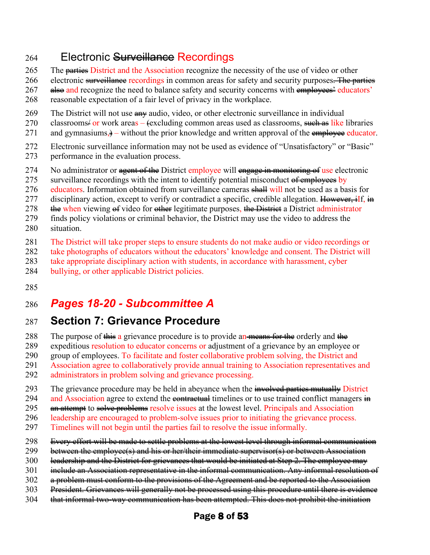### 264 Electronic Surveillance Recordings

- 265 The parties District and the Association recognize the necessity of the use of video or other
- 266 electronic surveillance recordings in common areas for safety and security purposes. The parties
- 267 also and recognize the need to balance safety and security concerns with employees' educators'
- 268 reasonable expectation of a fair level of privacy in the workplace.
- 269 The District will not use  $\frac{a_n}{a_n}$  audio, video, or other electronic surveillance in individual
- 270 classrooms or work areas  $\epsilon$  excluding common areas used as classrooms, such as like libraries
- 271 and gymnasiums, $)$  without the prior knowledge and written approval of the employee educator.
- 272 Electronic surveillance information may not be used as evidence of "Unsatisfactory" or "Basic"
- 273 performance in the evaluation process.
- 274 No administrator or a gent of the District employee will engage in monitoring of use electronic
- 275 surveillance recordings with the intent to identify potential misconduct of employees by
- 276 educators. Information obtained from surveillance cameras shall will not be used as a basis for
- 277 disciplinary action, except to verify or contradict a specific, credible allegation. However, if, in
- 278  $\theta$  the when viewing of video for other legitimate purposes, the District administrator
- 279 finds policy violations or criminal behavior, the District may use the video to address the
- 280 situation.
- 281 The District will take proper steps to ensure students do not make audio or video recordings or
- 282 take photographs of educators without the educators' knowledge and consent. The District will
- 283 take appropriate disciplinary action with students, in accordance with harassment, cyber
- 284 bullying, or other applicable District policies.
- 285

# 286 *Pages 18-20 - Subcommittee A*

# 287 **Section 7: Grievance Procedure**

- 288 The purpose of this a grievance procedure is to provide an means for the orderly and the
- 289 expeditious resolution to educator concerns or adjustment of a grievance by an employee or
- 290 group of employees. To facilitate and foster collaborative problem solving, the District and
- 291 Association agree to collaboratively provide annual training to Association representatives and
- 292 administrators in problem solving and grievance processing.
- 293 The grievance procedure may be held in abeyance when the involved parties mutually District
- 294 and Association agree to extend the **contractual** timelines or to use trained conflict managers  $\frac{1}{10}$
- 295 an attempt to solve problems resolve issues at the lowest level. Principals and Association
- 296 leadership are encouraged to problem-solve issues prior to initiating the grievance process.
- 297 Timelines will not begin until the parties fail to resolve the issue informally.
- 298 Every effort will be made to settle problems at the lowest level through informal communication
- 299 between the employee(s) and his or her/their immediate supervisor(s) or between Association
- 300 leadership and the District for grievances that would be initiated at Step 2. The employee may
- 301 include an Association representative in the informal communication. Any informal resolution of
- 302 a problem must conform to the provisions of the Agreement and be reported to the Association
- 303 President. Grievances will generally not be processed using this procedure until there is evidence
- 304 that informal two-way communication has been attempted. This does not prohibit the initiation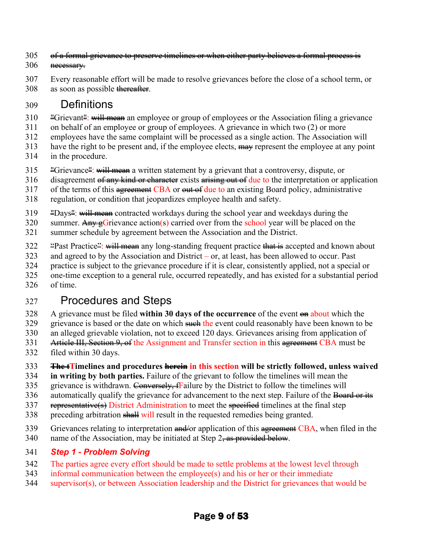- 305 of a formal grievance to preserve timelines or when either party believes a formal process is 306 necessary.
- 307 Every reasonable effort will be made to resolve grievances before the close of a school term, or 308 as soon as possible thereafter.

# 309 Definitions

- $310$  "Grievant": will mean an employee or group of employees or the Association filing a grievance
- 311 on behalf of an employee or group of employees. A grievance in which two (2) or more
- 312 employees have the same complaint will be processed as a single action. The Association will
- 313 have the right to be present and, if the employee elects,  $\frac{1}{2}$  represent the employee at any point
- 314 in the procedure.
- $315$  "Grievance": will mean a written statement by a grievant that a controversy, dispute, or
- 316 disagreement of any kind or character exists arising out of due to the interpretation or application
- 317 of the terms of this agreement CBA or out of due to an existing Board policy, administrative
- 318 regulation, or condition that jeopardizes employee health and safety.
- $319$  "Days": will mean contracted workdays during the school year and weekdays during the
- 320 summer. Any exercise action (s) carried over from the school year will be placed on the
- 321 summer schedule by agreement between the Association and the District.
- 322 "Past Practice": will mean any long-standing frequent practice that is accepted and known about
- 323 and agreed to by the Association and District or, at least, has been allowed to occur. Past
- 324 practice is subject to the grievance procedure if it is clear, consistently applied, not a special or
- 325 one-time exception to a general rule, occurred repeatedly, and has existed for a substantial period 326 of time.

# 327 Procedures and Steps

- 328 A grievance must be filed **within 30 days of the occurrence** of the event on about which the
- 329 grievance is based or the date on which such the event could reasonably have been known to be
- 330 an alleged grievable violation, not to exceed 120 days. Grievances arising from application of
- 331 Article III, Section 9, of the Assignment and Transfer section in this agreement CBA must be
- 332 filed within 30 days.
- 333 **The tTimelines and procedures herein in this section will be strictly followed, unless waived**
- 334 **in writing by both parties.** Failure of the grievant to follow the timelines will mean the
- 335 grievance is withdrawn. Conversely, Failure by the District to follow the timelines will
- 336 automatically qualify the grievance for advancement to the next step. Failure of the Board or its
- 337 representative(s) District Administration to meet the specified timelines at the final step
- 338 preceding arbitration shall will result in the requested remedies being granted.
- 339 Grievances relating to interpretation and/or application of this agreement CBA, when filed in the
- 340 name of the Association, may be initiated at Step  $2\frac{1}{2}$  as provided below.

# 341 *Step 1 - Problem Solving*

- 342 The parties agree every effort should be made to settle problems at the lowest level through
- 343 informal communication between the employee(s) and his or her or their immediate
- 344 supervisor(s), or between Association leadership and the District for grievances that would be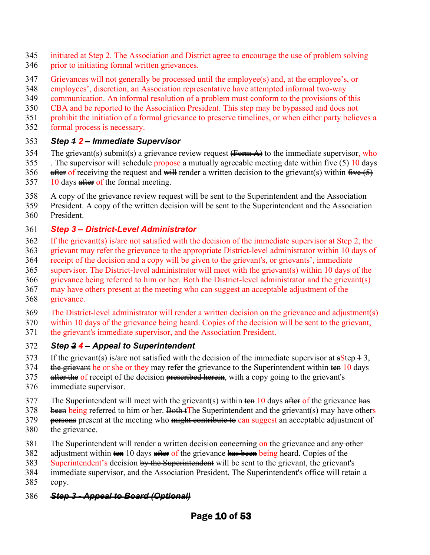- 345 initiated at Step 2. The Association and District agree to encourage the use of problem solving
- 346 prior to initiating formal written grievances.
- 347 Grievances will not generally be processed until the employee(s) and, at the employee's, or
- 348 employees', discretion, an Association representative have attempted informal two-way
- 349 communication. An informal resolution of a problem must conform to the provisions of this
- 350 CBA and be reported to the Association President. This step may be bypassed and does not
- 351 prohibit the initiation of a formal grievance to preserve timelines, or when either party believes a
- 352 formal process is necessary.

#### 353 *Step 1 2 – Immediate Supervisor*

- 354 The grievant(s) submit(s) a grievance review request  $\overrightarrow{Harm A}$  to the immediate supervisor, who
- 355 . The supervisor will schedule propose a mutually agreeable meeting date within  $\frac{f}{f}$   $\frac{f}{f}$   $\frac{f}{f}$   $\frac{f}{f}$   $\frac{f}{f}$   $\frac{f}{f}$   $\frac{f}{f}$   $\frac{f}{f}$   $\frac{f}{f}$   $\frac{f}{f}$   $\frac{f}{f}$   $\frac{f}{f}$   $\frac{f}{f}$   $\frac{f}{f$
- 356 after of receiving the request and will render a written decision to the grievant(s) within  $\frac{f^2}{f^2}$
- 357 10 days after of the formal meeting.
- 358 A copy of the grievance review request will be sent to the Superintendent and the Association
- 359 President. A copy of the written decision will be sent to the Superintendent and the Association 360 President.

### 361 *Step 3 – District-Level Administrator*

- 362 If the grievant(s) is/are not satisfied with the decision of the immediate supervisor at Step 2, the
- 363 grievant may refer the grievance to the appropriate District-level administrator within 10 days of
- 364 receipt of the decision and a copy will be given to the grievant's, or grievants', immediate
- 365 supervisor. The District-level administrator will meet with the grievant(s) within 10 days of the 366 grievance being referred to him or her. Both the District-level administrator and the grievant(s)
- 367 may have others present at the meeting who can suggest an acceptable adjustment of the
- 368 grievance.
- 369 The District-level administrator will render a written decision on the grievance and adjustment(s)
- 370 within 10 days of the grievance being heard. Copies of the decision will be sent to the grievant,
- 371 the grievant's immediate supervisor, and the Association President.

### 372 *Step 2 4 – Appeal to Superintendent*

- 373 If the grievant(s) is/are not satisfied with the decision of the immediate supervisor at  $\frac{1}{5}$ s  $\frac{1}{5}$ ,
- 374 the grievant he or she or they may refer the grievance to the Superintendent within ten 10 days
- 375 after the of receipt of the decision prescribed herein, with a copy going to the grievant's
- 376 immediate supervisor.
- 377 The Superintendent will meet with the grievant(s) within  $\theta$  ten 10 days after of the grievance has
- $378$  been being referred to him or her. Both tThe Superintendent and the grievant(s) may have others
- 379 persons present at the meeting who might contribute to can suggest an acceptable adjustment of
- 380 the grievance.
- 381 The Superintendent will render a written decision concerning on the grievance and any other
- 382 adjustment within ten 10 days after of the grievance has been being heard. Copies of the
- 383 Superintendent's decision by the Superintendent will be sent to the grievant, the grievant's
- 384 immediate supervisor, and the Association President. The Superintendent's office will retain a
- 385 copy.

### 386 *Step 3 - Appeal to Board (Optional)*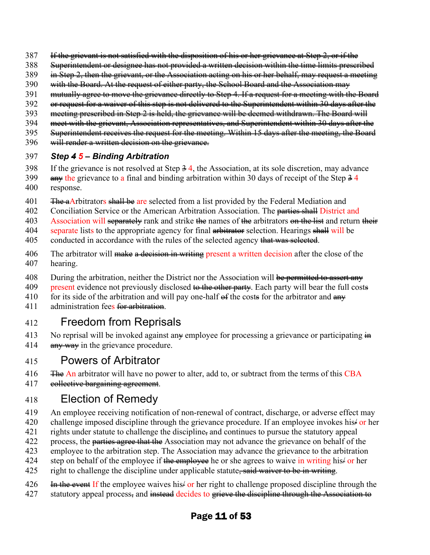- 387 If the grievant is not satisfied with the disposition of his or her grievance at Step 2, or if the
- 388 Superintendent or designee has not provided a written decision within the time limits prescribed
- 389 in Step 2, then the grievant, or the Association acting on his or her behalf, may request a meeting
- 390 with the Board. At the request of either party, the School Board and the Association may
- 391 mutually agree to move the grievance directly to Step 4. If a request for a meeting with the Board
- 392 or request for a waiver of this step is not delivered to the Superintendent within 30 days after the
- 393 meeting prescribed in Step 2 is held, the grievance will be deemed withdrawn. The Board will
- 394 meet with the grievant, Association representatives, and Superintendent within 30 days after the
- 395 Superintendent receives the request for the meeting. Within 15 days after the meeting, the Board
- 396 will render a written decision on the grievance.

#### 397 *Step 4 5 – Binding Arbitration*

- 398 If the grievance is not resolved at Step  $\frac{3}{4}$ , the Association, at its sole discretion, may advance
- 399 any the grievance to a final and binding arbitration within 30 days of receipt of the Step  $\frac{34}{3}$ 400 response.
- 401 Free Arbitrators shall be are selected from a list provided by the Federal Mediation and
- 402 Conciliation Service or the American Arbitration Association. The parties shall District and
- 403 Association will separately rank and strike the names of the arbitrators on the list and return their
- 404 separate lists to the appropriate agency for final arbitrator selection. Hearings shall will be
- 405 conducted in accordance with the rules of the selected agency that was selected.
- 406 The arbitrator will make a decision in writing present a written decision after the close of the 407 hearing.
- 408 During the arbitration, neither the District nor the Association will be permitted to assert any
- 409 present evidence not previously disclosed to the other party. Each party will bear the full costs
- 410 for its side of the arbitration and will pay one-half  $\theta$  the costs for the arbitrator and  $\theta$
- 411 administration fees for arbitration.

### 412 Freedom from Reprisals

- 413 No reprisal will be invoked against an  $\ast$  employee for processing a grievance or participating  $\dot{H}$
- 414  $\frac{a_{\text{H}}}{a_{\text{H}}}\times\frac{a_{\text{H}}}{a_{\text{H}}}$  in the grievance procedure.

### 415 Powers of Arbitrator

- 416 **The An** arbitrator will have no power to alter, add to, or subtract from the terms of this CBA
- 417 eollective bargaining agreement.

# 418 Election of Remedy

- 419 An employee receiving notification of non-renewal of contract, discharge, or adverse effect may
- 420 challenge imposed discipline through the grievance procedure. If an employee invokes his or her
- 421 rights under statute to challenge the discipline, and continues to pursue the statutory appeal
- 422 process, the parties agree that the Association may not advance the grievance on behalf of the
- 423 employee to the arbitration step. The Association may advance the grievance to the arbitration
- 424 step on behalf of the employee if the employee he or she agrees to waive in writing his/ or her
- 425 right to challenge the discipline under applicable statute, said waiver to be in writing.
- 426 In the event If the employee waives his or her right to challenge proposed discipline through the
- 427 statutory appeal process, and instead decides to grieve the discipline through the Association to

### Page 11 of 53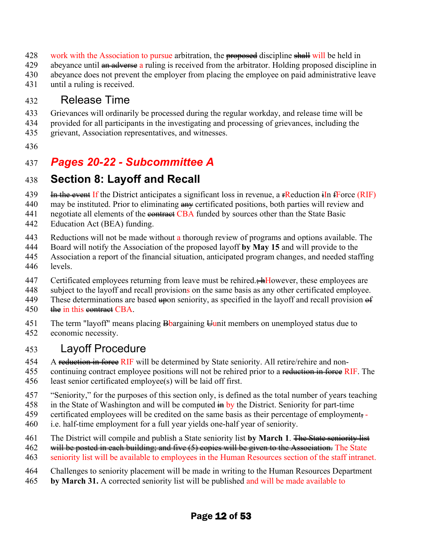- 428 work with the Association to pursue arbitration, the proposed discipline shall will be held in
- 429 abeyance until an adverse a ruling is received from the arbitrator. Holding proposed discipline in
- 430 abeyance does not prevent the employer from placing the employee on paid administrative leave
- 431 until a ruling is received.

### 432 Release Time

- 433 Grievances will ordinarily be processed during the regular workday, and release time will be
- 434 provided for all participants in the investigating and processing of grievances, including the
- 435 grievant, Association representatives, and witnesses.
- 436

# 437 *Pages 20-22 - Subcommittee A*

# 438 **Section 8: Layoff and Recall**

- 439 In the event If the District anticipates a significant loss in revenue, a **FR**eduction in Force (RIF)
- 440 may be instituted. Prior to eliminating  $\frac{a_n}{b_n}$  certificated positions, both parties will review and
- 441 negotiate all elements of the **contract CBA** funded by sources other than the State Basic
- 442 Education Act (BEA) funding.
- 443 Reductions will not be made without a thorough review of programs and options available. The
- 444 Board will notify the Association of the proposed layoff **by May 15** and will provide to the
- 445 Association a report of the financial situation, anticipated program changes, and needed staffing 446 levels.
- 447 Certificated employees returning from leave must be rehired. $\frac{1}{2}$ However, these employees are
- 448 subject to the layoff and recall provisions on the same basis as any other certificated employee.
- 449 These determinations are based  $\frac{1}{2}$  sensitively, as specified in the layoff and recall provision  $\frac{1}{2}$
- 450 the in this contract CBA.
- 451 The term "layoff" means placing  $\frac{1}{2}$ bargaining  $\frac{1}{2}$ unit members on unemployed status due to
- 452 economic necessity.

### 453 Layoff Procedure

- 454 A reduction in force RIF will be determined by State seniority. All retire/rehire and non-
- 455 continuing contract employee positions will not be rehired prior to a reduction in force RIF. The
- 456 least senior certificated employee(s) will be laid off first.
- 457 "Seniority," for the purposes of this section only, is defined as the total number of years teaching
- 458 in the State of Washington and will be computed  $\frac{1}{2}$  by the District. Seniority for part-time
- 459 certificated employees will be credited on the same basis as their percentage of employment.
- 460 i.e. half-time employment for a full year yields one-half year of seniority.
- 461 The District will compile and publish a State seniority list **by March 1**. The State seniority list
- 462 will be posted in each building; and five (5) copies will be given to the Association. The State
- 463 seniority list will be available to employees in the Human Resources section of the staff intranet.
- 464 Challenges to seniority placement will be made in writing to the Human Resources Department
- 465 **by March 31.** A corrected seniority list will be published and will be made available to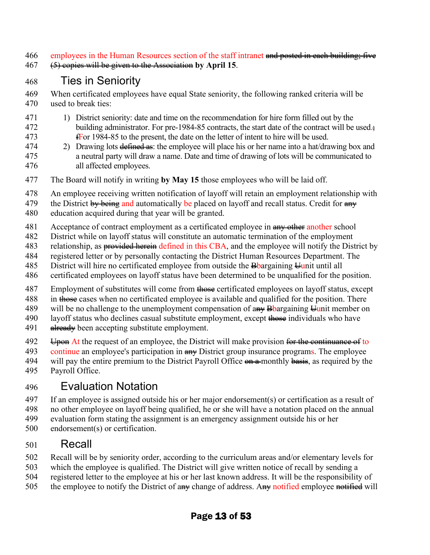466 employees in the Human Resources section of the staff intranet and posted in each building; five

467 (5) copies will be given to the Association **by April 15**.

# 468 Ties in Seniority

- 469 When certificated employees have equal State seniority, the following ranked criteria will be
- 470 used to break ties:
- 471 1) District seniority: date and time on the recommendation for hire form filled out by the 472 building administrator. For pre-1984-85 contracts, the start date of the contract will be used. 473 fFor 1984-85 to the present, the date on the letter of intent to hire will be used.
- 474 2) Drawing lots defined as: the employee will place his or her name into a hat/drawing box and 475 a neutral party will draw a name. Date and time of drawing of lots will be communicated to 476 all affected employees.
- 477 The Board will notify in writing **by May 15** those employees who will be laid off.
- 478 An employee receiving written notification of layoff will retain an employment relationship with
- 479 the District by being and automatically be placed on layoff and recall status. Credit for  $\frac{a_n}{b_n}$
- 480 education acquired during that year will be granted.
- 481 Acceptance of contract employment as a certificated employee in  $\frac{a_{H+1}}{a_{H+1}}$  another school
- 482 District while on layoff status will constitute an automatic termination of the employment
- 483 relationship, as **provided herein** defined in this CBA, and the employee will notify the District by
- 484 registered letter or by personally contacting the District Human Resources Department. The
- 485 District will hire no certificated employee from outside the  $\frac{1}{2}$ bargaining  $\frac{1}{2}$ unit until all
- 486 certificated employees on layoff status have been determined to be unqualified for the position.
- 487 Employment of substitutes will come from those certificated employees on layoff status, except
- 488 in those cases when no certificated employee is available and qualified for the position. There
- 489 will be no challenge to the unemployment compensation of  $\frac{4}{4}$  B bargaining  $\frac{1}{4}$ unit member on
- 490 layoff status who declines casual substitute employment, except those individuals who have
- 491 already been accepting substitute employment.
- 492 Upon At the request of an employee, the District will make provision for the continuance of to
- 493 continue an employee's participation in  $\frac{1}{2}$  District group insurance programs. The employee
- 494 will pay the entire premium to the District Payroll Office  $\Theta$  a monthly basis, as required by the
- 495 Payroll Office.

# 496 Evaluation Notation

- 497 If an employee is assigned outside his or her major endorsement(s) or certification as a result of
- 498 no other employee on layoff being qualified, he or she will have a notation placed on the annual
- 499 evaluation form stating the assignment is an emergency assignment outside his or her
- 500 endorsement(s) or certification.

# 501 Recall

- 502 Recall will be by seniority order, according to the curriculum areas and/or elementary levels for
- 503 which the employee is qualified. The District will give written notice of recall by sending a
- 504 registered letter to the employee at his or her last known address. It will be the responsibility of
- 505 the employee to notify the District of any change of address. Any notified employee notified will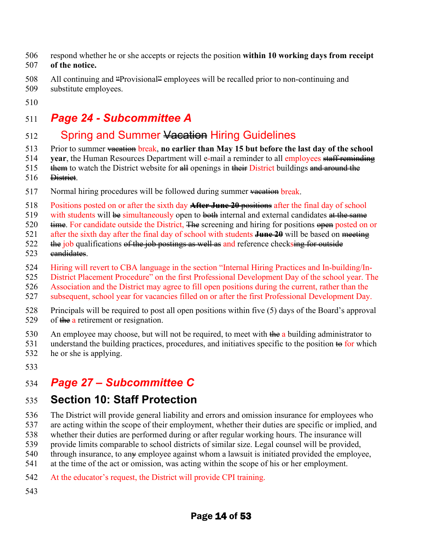- 506 respond whether he or she accepts or rejects the position **within 10 working days from receipt**  507 **of the notice.**
- 508 All continuing and "Provisional" employees will be recalled prior to non-continuing and
- 509 substitute employees.
- 510

# 511 *Page 24 - Subcommittee A*

### 512 Spring and Summer Vacation Hiring Guidelines

- 513 Prior to summer vacation break, **no earlier than May 15 but before the last day of the school**
- 514 **year**, the Human Resources Department will e-mail a reminder to all employees staff reminding
- 515 them to watch the District website for  $\frac{d}{dt}$  openings in their District buildings and around the
- 516 District.
- 517 Normal hiring procedures will be followed during summer  $\frac{1}{2}$  wearhood break.
- 518 Positions posted on or after the sixth day **After June 20** positions after the final day of school
- 519 with students will be simultaneously open to both internal and external candidates at the same
- 520  $\theta$  time. For candidate outside the District, The screening and hiring for positions open posted on or
- 521 after the sixth day after the final day of school with students **June 20** will be based on meeting
- $522$  the job qualifications of the job postings as well as and reference checksing for outside
- 523 candidates.
- 524 Hiring will revert to CBA language in the section "Internal Hiring Practices and In-building/In-
- 525 District Placement Procedure" on the first Professional Development Day of the school year. The
- 526 Association and the District may agree to fill open positions during the current, rather than the
- 527 subsequent, school year for vacancies filled on or after the first Professional Development Day.
- 528 Principals will be required to post all open positions within five (5) days of the Board's approval 529 of  $\theta$  a retirement or resignation.
- 530 An employee may choose, but will not be required, to meet with  $\frac{d\mathbf{h}}{dt}$  a building administrator to
- 531 understand the building practices, procedures, and initiatives specific to the position  $\leftrightarrow$  for which 532 he or she is applying.
- 533

# 534 *Page 27 – Subcommittee C*

# 535 **Section 10: Staff Protection**

- 536 The District will provide general liability and errors and omission insurance for employees who
- 537 are acting within the scope of their employment, whether their duties are specific or implied, and
- 538 whether their duties are performed during or after regular working hours. The insurance will
- 539 provide limits comparable to school districts of similar size. Legal counsel will be provided,
- 540 through insurance, to any employee against whom a lawsuit is initiated provided the employee,
- 541 at the time of the act or omission, was acting within the scope of his or her employment.
- 542 At the educator's request, the District will provide CPI training.
- 543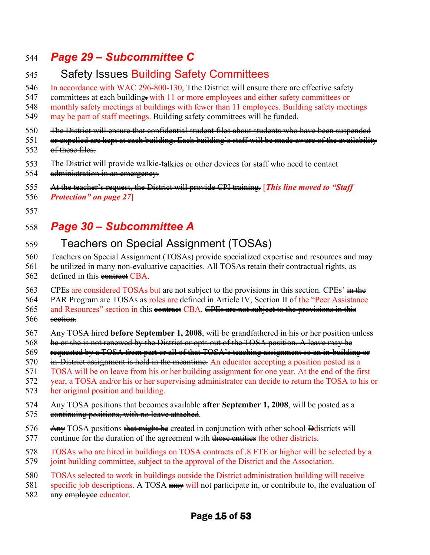### 544 *Page 29 – Subcommittee C*

# 545 Safety Issues Building Safety Committees

546 In accordance with WAC 296-800-130,  $\pm$ the District will ensure there are effective safety

547 committees at each building. with 11 or more employees and either safety committees or

548 monthly safety meetings at buildings with fewer than 11 employees. Building safety meetings

549 may be part of staff meetings. Building safety committees will be funded.

550 Fhe District will ensure that confidential student files about students who have been suspended

551 or expelled are kept at each building. Each building's staff will be made aware of the availability

- 552 of these files.
- 553 The District will provide walkie-talkies or other devices for staff who need to contact
- 554 administration in an emergency.
- 555 At the teacher's request, the District will provide CPI training. [*This line moved to "Staff*
- 556 *Protection" on page 27*]
- 557

# 558 *Page 30 – Subcommittee A*

# 559 Teachers on Special Assignment (TOSAs)

- 560 Teachers on Special Assignment (TOSAs) provide specialized expertise and resources and may
- 561 be utilized in many non-evaluative capacities. All TOSAs retain their contractual rights, as
- 562 defined in this contract CBA.

563 CPEs are considered TOSAs but are not subject to the provisions in this section. CPEs' in the

564 PAR Program are TOSAs as roles are defined in Article IV, Section II of the "Peer Assistance"

565 and Resources" section in this contract CBA. CPEs are not subject to the provisions in this 566 section.

- 567 Any TOSA hired **before September 1, 2008**, will be grandfathered in his or her position unless
- 568 he or she is not renewed by the District or opts out of the TOSA position. A leave may be
- 569 requested by a TOSA from part or all of that TOSA's teaching assignment so an in-building or
- 570 <del>in-District assignment is held in the meantime.</del> An educator accepting a position posted as a
- 571 TOSA will be on leave from his or her building assignment for one year. At the end of the first

572 year, a TOSA and/or his or her supervising administrator can decide to return the TOSA to his or

- 573 her original position and building.
- 574 Any TOSA positions that becomes available **after September 1, 2008**, will be posted as a
- 575 eontinuing positions, with no leave attached.
- $576$  Any TOSA positions that might be created in conjunction with other school  $\theta$ districts will
- 577 continue for the duration of the agreement with those entities the other districts.
- 578 TOSAs who are hired in buildings on TOSA contracts of .8 FTE or higher will be selected by a
- 579 joint building committee, subject to the approval of the District and the Association.
- 580 TOSAs selected to work in buildings outside the District administration building will receive
- 581 specific job descriptions. A TOSA may will not participate in, or contribute to, the evaluation of
- 582 an<del>y employee</del> educator.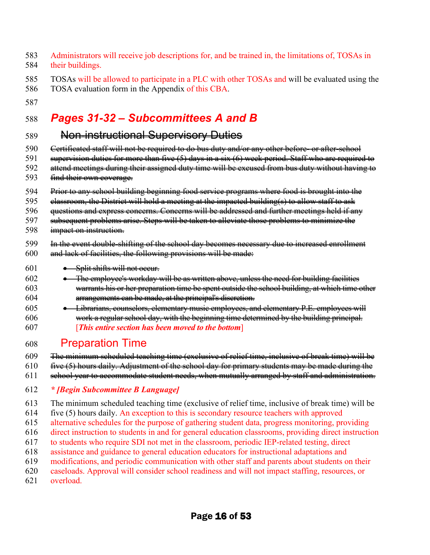- 583 Administrators will receive job descriptions for, and be trained in, the limitations of, TOSAs in 584 their buildings.
- 585 TOSAs will be allowed to participate in a PLC with other TOSAs and will be evaluated using the
- 586 TOSA evaluation form in the Appendix of this CBA.
- 587

# 588 *Pages 31-32 – Subcommittees A and B*

### 589 Non-instructional Supervisory Duties

- 590 Gertificated staff will not be required to do bus duty and/or any other before- or after-school
- 591 supervision duties for more than five (5) days in a six (6) week period. Staff who are required to
- 592 attend meetings during their assigned duty time will be excused from bus duty without having to
- 593 find their own coverage.
- 594 Prior to any school building beginning food service programs where food is brought into the
- 595 elassroom, the District will hold a meeting at the impacted building(s) to allow staff to ask
- 596 guestions and express concerns. Concerns will be addressed and further meetings held if any
- 597 subsequent problems arise. Steps will be taken to alleviate those problems to minimize the
- 598 impact on instruction.
- 599 In the event double-shifting of the school day becomes necessary due to increased enrollment
- 600 and lack of facilities, the following provisions will be made:
- 601 Split shifts will not occur.
- $602 \rightarrow$  The employee's workday will be as written above, unless the need for building facilities
- 603 warrants his or her preparation time be spent outside the school building, at which time other 604 arrangements can be made, at the principal's discretion.
- 605 Librarians, counselors, elementary music employees, and elementary P.E. employees will 606 work a regular school day, with the beginning time determined by the building principal. 607 [*This entire section has been moved to the bottom*]

# 608 Preparation Time

- 609 The minimum scheduled teaching time (exclusive of relief time, inclusive of break time) will be
- $610$  five  $(5)$  hours daily. Adjustment of the school day for primary students may be made during the
- 611 school year to accommodate student needs, when mutually arranged by staff and administration.
- 612 *\* [Begin Subcommittee B Language]*
- 613 The minimum scheduled teaching time (exclusive of relief time, inclusive of break time) will be
- 614 five (5) hours daily. An exception to this is secondary resource teachers with approved
- 615 alternative schedules for the purpose of gathering student data, progress monitoring, providing
- 616 direct instruction to students in and for general education classrooms, providing direct instruction
- 617 to students who require SDI not met in the classroom, periodic IEP-related testing, direct
- 618 assistance and guidance to general education educators for instructional adaptations and
- 619 modifications, and periodic communication with other staff and parents about students on their
- 620 caseloads. Approval will consider school readiness and will not impact staffing, resources, or 621 overload.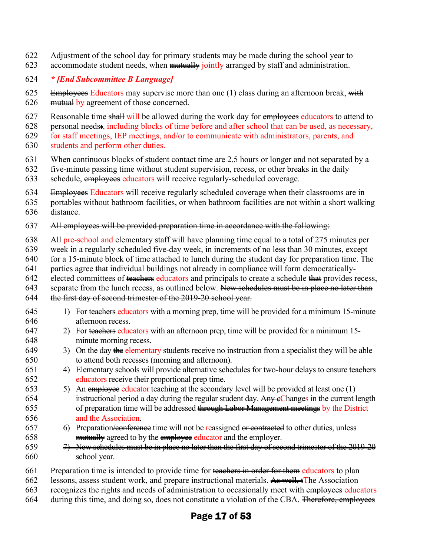- 622 Adjustment of the school day for primary students may be made during the school year to
- 623 accommodate student needs, when mutually jointly arranged by staff and administration.

#### 624 *\* [End Subcommittee B Language]*

- 625 Employees Educators may supervise more than one (1) class during an afternoon break, with 626 mutual by agreement of those concerned.
- 627 Reasonable time shall will be allowed during the work day for employees educators to attend to
- 628 personal needs:, including blocks of time before and after school that can be used, as necessary,
- 629 for staff meetings, IEP meetings, and/or to communicate with administrators, parents, and
- 630 students and perform other duties.
- 631 When continuous blocks of student contact time are 2.5 hours or longer and not separated by a
- 632 five-minute passing time without student supervision, recess, or other breaks in the daily
- 633 schedule, employees educators will receive regularly-scheduled coverage.
- 634 Employees Educators will receive regularly scheduled coverage when their classrooms are in
- 635 portables without bathroom facilities, or when bathroom facilities are not within a short walking
- 636 distance.
- 637 All employees will be provided preparation time in accordance with the following:
- 638 All pre-school and elementary staff will have planning time equal to a total of 275 minutes per
- 639 week in a regularly scheduled five-day week, in increments of no less than 30 minutes, except
- 640 for a 15-minute block of time attached to lunch during the student day for preparation time. The
- 641 parties agree that individual buildings not already in compliance will form democratically-
- 642 elected committees of teachers educators and principals to create a schedule that provides recess,
- 643 separate from the lunch recess, as outlined below. New schedules must be in place no later than
- 644 the first day of second trimester of the 2019-20 school year.
- 645 1) For teachers educators with a morning prep, time will be provided for a minimum 15-minute 646 afternoon recess.
- 647 2) For teachers educators with an afternoon prep, time will be provided for a minimum 15-648 minute morning recess.
- 649 3) On the day the elementary students receive no instruction from a specialist they will be able 650 to attend both recesses (morning and afternoon).
- 651 4) Elementary schools will provide alternative schedules for two-hour delays to ensure teachers 652 educators receive their proportional prep time.
- 653 5) An employee educator teaching at the secondary level will be provided at least one (1) 654 instructional period a day during the regular student day.  $\frac{\text{Any e} \text{Changes}}{\text{Anye} \text{Changes}}$  in the current length 655 of preparation time will be addressed through Labor Management meetings by the District 656 and the Association.
- 657 6) Preparation <del>/conference</del> time will not be reassigned or contracted to other duties, unless 658 mutually agreed to by the employee educator and the employer.
- 659 7) New schedules must be in place no later than the first day of second trimester of the 2019-20 660 school year.
- 661 Preparation time is intended to provide time for teachers in order for them educators to plan
- 662 lessons, assess student work, and prepare instructional materials. As well, tThe Association
- 663 recognizes the rights and needs of administration to occasionally meet with employees educators
- 664 during this time, and doing so, does not constitute a violation of the CBA. Therefore, employees

### Page 17 of 53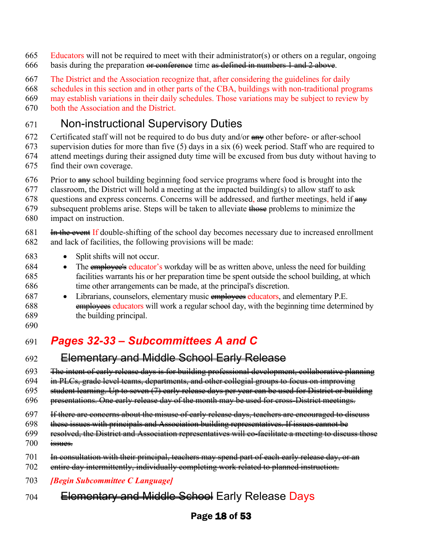- 665 Educators will not be required to meet with their administrator(s) or others on a regular, ongoing
- 666 basis during the preparation  $\theta$  conference time as defined in numbers 1 and 2 above.
- 667 The District and the Association recognize that, after considering the guidelines for daily

668 schedules in this section and in other parts of the CBA, buildings with non-traditional programs

669 may establish variations in their daily schedules. Those variations may be subject to review by

670 both the Association and the District.

### 671 Non-instructional Supervisory Duties

672 Certificated staff will not be required to do bus duty and/or  $\frac{1}{2}$  other before- or after-school

- 673 supervision duties for more than five (5) days in a six (6) week period. Staff who are required to 674 attend meetings during their assigned duty time will be excused from bus duty without having to
- 675 find their own coverage.
- $676$  Prior to  $\frac{1}{2}$  Prove building beginning food service programs where food is brought into the

677 classroom, the District will hold a meeting at the impacted building(s) to allow staff to ask

678 questions and express concerns. Concerns will be addressed, and further meetings, held if  $\frac{am}{r}$ 

- 679 subsequent problems arise. Steps will be taken to alleviate those problems to minimize the
- 680 impact on instruction.

681 **In the event If double-shifting of the school day becomes necessary due to increased enrollment** 682 and lack of facilities, the following provisions will be made:

- 683 Split shifts will not occur.
- 684 The employee's educator's workday will be as written above, unless the need for building 685 facilities warrants his or her preparation time be spent outside the school building, at which 686 time other arrangements can be made, at the principal's discretion.
- 687 Librarians, counselors, elementary music employees educators, and elementary P.E. 688 employees educators will work a regular school day, with the beginning time determined by 689 the building principal.
- 690

# 691 *Pages 32-33 – Subcommittees A and C*

### 692 Elementary and Middle School Early Release

693 The intent of early release days is for building professional development, collaborative planning

- 694 in PLCs, grade level teams, departments, and other collegial groups to focus on improving
- 695 student learning. Up to seven (7) early release days per year can be used for District or building
- 696 presentations. One early release day of the month may be used for cross-District meetings.
- 697 If there are concerns about the misuse of early release days, teachers are encouraged to discuss
- 698 these issues with principals and Association building representatives. If issues cannot be
- 699 resolved, the District and Association representatives will co-facilitate a meeting to discuss those
- 700 issues.
- 701 In consultation with their principal, teachers may spend part of each early release day, or an
- 702 entire day intermittently, individually completing work related to planned instruction.
- 703 *[Begin Subcommittee C Language]*
- 704 Elementary and Middle School Early Release Days

### Page 18 of 53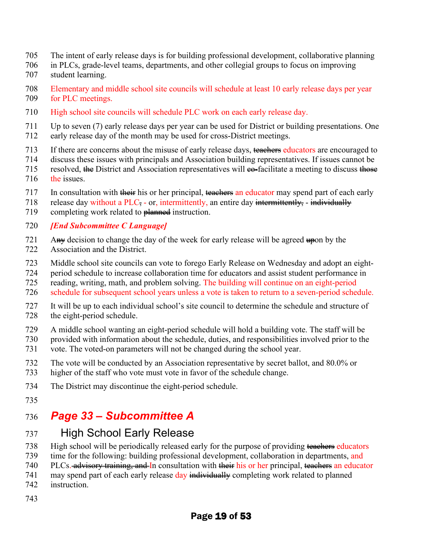- 705 The intent of early release days is for building professional development, collaborative planning
- 706 in PLCs, grade-level teams, departments, and other collegial groups to focus on improving
- 707 student learning.
- 708 Elementary and middle school site councils will schedule at least 10 early release days per year 709 for PLC meetings.
- 710 High school site councils will schedule PLC work on each early release day.
- 711 Up to seven (7) early release days per year can be used for District or building presentations. One
- 712 early release day of the month may be used for cross-District meetings.
- 713 If there are concerns about the misuse of early release days, teachers educators are encouraged to
- 714 discuss these issues with principals and Association building representatives. If issues cannot be
- 715 resolved, the District and Association representatives will  $\epsilon_0$ -facilitate a meeting to discuss those 716 the issues.
- 717 In consultation with their his or her principal, teachers an educator may spend part of each early
- 718 release day without a  $PLC$ , or, intermittently, an entire day intermittently, individually
- 719 completing work related to  $\theta$  planned instruction.

#### 720 *[End Subcommittee C Language]*

- 721 Any decision to change the day of the week for early release will be agreed  $\frac{1}{2}$  by the
- 722 Association and the District.
- 723 Middle school site councils can vote to forego Early Release on Wednesday and adopt an eight-
- 724 period schedule to increase collaboration time for educators and assist student performance in
- 725 reading, writing, math, and problem solving. The building will continue on an eight-period
- 726 schedule for subsequent school years unless a vote is taken to return to a seven-period schedule.
- 727 It will be up to each individual school's site council to determine the schedule and structure of 728 the eight-period schedule.
- 729 A middle school wanting an eight-period schedule will hold a building vote. The staff will be
- 730 provided with information about the schedule, duties, and responsibilities involved prior to the
- 731 vote. The voted-on parameters will not be changed during the school year.
- 732 The vote will be conducted by an Association representative by secret ballot, and 80.0% or 733 higher of the staff who vote must vote in favor of the schedule change.
- 734 The District may discontinue the eight-period schedule.
- 735

# 736 *Page 33 – Subcommittee A*

# 737 High School Early Release

- 738 High school will be periodically released early for the purpose of providing teachers educators
- 739 time for the following: building professional development, collaboration in departments, and
- 740 PLCs. advisory training, and In consultation with their his or her principal, teachers an educator
- 741 may spend part of each early release day individually completing work related to planned
- 742 instruction.
- 743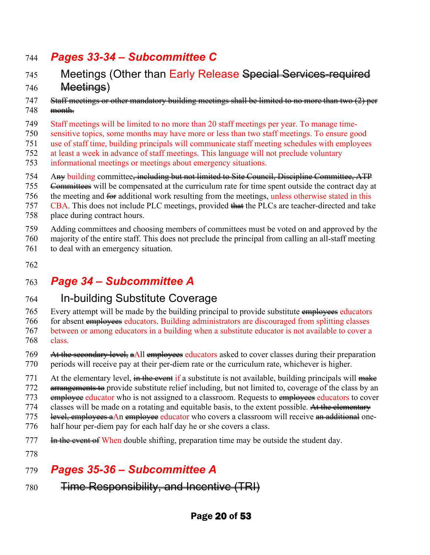### 744 *Pages 33-34 – Subcommittee C*

- 745 Meetings (Other than Early Release Special Services-required 746 Meetings)
- 747 Staff meetings or other mandatory building meetings shall be limited to no more than two (2) per 748 month.
- 749 Staff meetings will be limited to no more than 20 staff meetings per year. To manage time-
- 750 sensitive topics, some months may have more or less than two staff meetings. To ensure good
- 751 use of staff time, building principals will communicate staff meeting schedules with employees
- 752 at least a week in advance of staff meetings. This language will not preclude voluntary
- informational meetings or meetings about emergency situations.
- 754 Any building committee, including but not limited to Site Council, Discipline Committee, ATP
- 755 <del>Committees</del> will be compensated at the curriculum rate for time spent outside the contract day at
- 756 the meeting and  $\frac{2}{\pi}$  additional work resulting from the meetings, unless otherwise stated in this
- 757 CBA. This does not include PLC meetings, provided that the PLCs are teacher-directed and take
- 758 place during contract hours.
- 759 Adding committees and choosing members of committees must be voted on and approved by the
- 760 majority of the entire staff. This does not preclude the principal from calling an all-staff meeting
- 761 to deal with an emergency situation.
- 762

# 763 *Page 34 – Subcommittee A*

### 764 In-building Substitute Coverage

765 Every attempt will be made by the building principal to provide substitute employees educators 766 for absent employees educators. Building administrators are discouraged from splitting classes 767 between or among educators in a building when a substitute educator is not available to cover a 768 class.

- 769 At the secondary level, a All employees educators asked to cover classes during their preparation 770 periods will receive pay at their per-diem rate or the curriculum rate, whichever is higher.
- 771 At the elementary level,  $\frac{d}{dx}$  is a substitute is not available, building principals will  $\frac{d}{dx}$
- 772 <del>arrangements to</del> provide substitute relief including, but not limited to, coverage of the class by an
- 773 employee educator who is not assigned to a classroom. Requests to employees educators to cover
- 774 classes will be made on a rotating and equitable basis, to the extent possible. At the elementary 775 level, employees aAn employee educator who covers a classroom will receive an additional one-
- 776 half hour per-diem pay for each half day he or she covers a class.
- 777 In the event of When double shifting, preparation time may be outside the student day.
- 778

# 779 *Pages 35-36 – Subcommittee A*

780 **Time Responsibility, and Incentive (TRI)**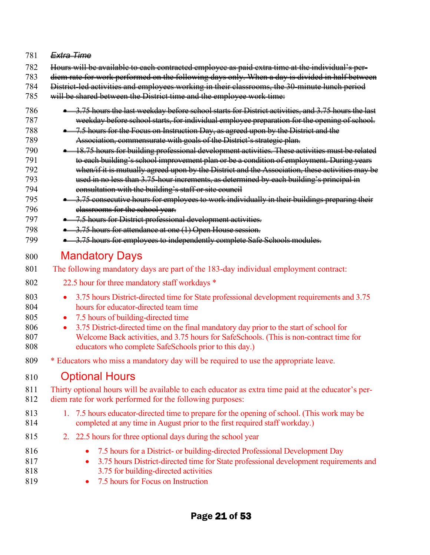#### 781 *Extra Time*

- 782 Hours will be available to each contracted employee as paid extra time at the individual's per-
- 783 diem rate for work performed on the following days only. When a day is divided in half between
- 784 District-led activities and employees working in their classrooms, the 30-minute lunch period
- 785 will be shared between the District time and the employee work time:
- 786 3.75 hours the last weekday before school starts for District activities, and 3.75 hours the last 787 weekday before school starts, for individual employee preparation for the opening of school.
- 788 7.5 hours for the Focus on Instruction Day, as agreed upon by the District and the 789 Association, commensurate with goals of the District's strategic plan.
- 790 18.75 hours for building professional development activities. These activities must be related 791 **to each building's school improvement plan or be a condition of employment. During years** 792 when/if it is mutually agreed upon by the District and the Association, these activities may be 793 used in no less than 3.75-hour increments, as determined by each building's principal in 794 consultation with the building's staff or site council
- 795 3.75 consecutive hours for employees to work individually in their buildings preparing their 796 classrooms for the school year.
- 797 7.5 hours for District professional development activities.
- 798 3.75 hours for attendance at one (1) Open House session.
- 799 3.75 hours for employees to independently complete Safe Schools modules.

### 800 Mandatory Days

- 801 The following mandatory days are part of the 183-day individual employment contract:
- 802 22.5 hour for three mandatory staff workdays \*
- 803 3.75 hours District-directed time for State professional development requirements and 3.75 804 hours for educator-directed team time
- 805 7.5 hours of building-directed time
- 806 3.75 District-directed time on the final mandatory day prior to the start of school for 807 Welcome Back activities, and 3.75 hours for SafeSchools. (This is non-contract time for 808 educators who complete SafeSchools prior to this day.)
- 809 \* Educators who miss a mandatory day will be required to use the appropriate leave.

### 810 Optional Hours

- 811 Thirty optional hours will be available to each educator as extra time paid at the educator's per-812 diem rate for work performed for the following purposes:
- 813 1. 7.5 hours educator-directed time to prepare for the opening of school. (This work may be 814 completed at any time in August prior to the first required staff workday.)
- 815 2. 22.5 hours for three optional days during the school year
- 816 7.5 hours for a District- or building-directed Professional Development Day 817 • 3.75 hours District-directed time for State professional development requirements and
- 818 3.75 for building-directed activities
- 819 7.5 hours for Focus on Instruction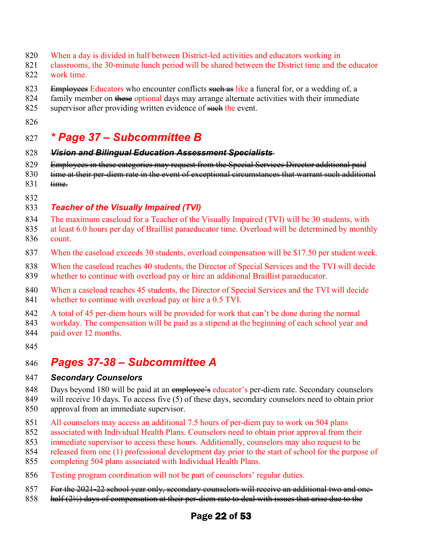- 820 When a day is divided in half between District-led activities and educators working in
- 821 classrooms, the 30-minute lunch period will be shared between the District time and the educator 822 work time.
- 823 Employees Educators who encounter conflicts such as like a funeral for, or a wedding of, a
- 824 family member on these optional days may arrange alternate activities with their immediate
- 825 supervisor after providing written evidence of such the event.
- 826

### 827 *\* Page 37 – Subcommittee B*

- 828 *Vision and Bilingual Education Assessment Specialists*
- 829 Employees in these categories may request from the Special Services Director additional paid
- 830 time at their per-diem rate in the event of exceptional circumstances that warrant such additional 831 time.
- 832

#### 833 *Teacher of the Visually Impaired (TVI)*

- 834 The maximum caseload for a Teacher of the Visually Impaired (TVI) will be 30 students, with
- 835 at least 6.0 hours per day of Braillist paraeducator time. Overload will be determined by monthly 836 count.
- 837 When the caseload exceeds 30 students, overload compensation will be \$17.50 per student week.
- 838 When the caseload reaches 40 students, the Director of Special Services and the TVI will decide
- 839 whether to continue with overload pay or hire an additional Braillist paraeducator.
- 840 When a caseload reaches 45 students, the Director of Special Services and the TVI will decide 841 whether to continue with overload pay or hire a 0.5 TVI.
- 842 A total of 45 per-diem hours will be provided for work that can't be done during the normal
- 843 workday. The compensation will be paid as a stipend at the beginning of each school year and
- 844 paid over 12 months.
- 845

# 846 *Pages 37-38 – Subcommittee A*

#### 847 *Secondary Counselors*

- 848 Days beyond 180 will be paid at an employee's educator's per-diem rate. Secondary counselors
- 849 will receive 10 days. To access five (5) of these days, secondary counselors need to obtain prior 850 approval from an immediate supervisor.
- 851 All counselors may access an additional 7.5 hours of per-diem pay to work on 504 plans
- 852 associated with Individual Health Plans. Counselors need to obtain prior approval from their
- 853 immediate supervisor to access these hours. Additionally, counselors may also request to be
- 854 released from one (1) professional development day prior to the start of school for the purpose of
- 855 completing 504 plans associated with Individual Health Plans.
- 856 Testing program coordination will not be part of counselors' regular duties.
- 857 For the 2021-22 school year only, secondary counselors will receive an additional two and one-
- 858 half (2½) days of compensation at their per-diem rate to deal with issues that arise due to the

### Page 22 of 53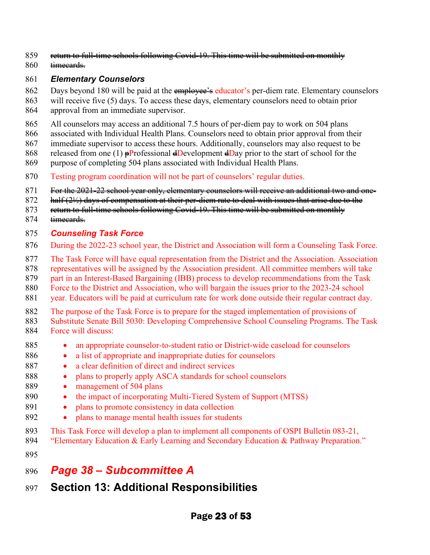- 859 return to full-time schools following Covid-19. This time will be submitted on monthly
- 860 <del>timecards.</del>

#### 861 *Elementary Counselors*

- 862 Days beyond 180 will be paid at the employee's educator's per-diem rate. Elementary counselors
- 863 will receive five (5) days. To access these days, elementary counselors need to obtain prior
- 864 approval from an immediate supervisor.
- 865 All counselors may access an additional 7.5 hours of per-diem pay to work on 504 plans
- 866 associated with Individual Health Plans. Counselors need to obtain prior approval from their
- 867 immediate supervisor to access these hours. Additionally, counselors may also request to be
- 868 released from one (1)  $\frac{1}{P}$ Professional  $\frac{1}{P}$ evelopment  $\frac{1}{P}$ ay prior to the start of school for the
- 869 purpose of completing 504 plans associated with Individual Health Plans.
- 870 Testing program coordination will not be part of counselors' regular duties.
- 871 For the 2021-22 school year only, elementary counselors will receive an additional two and one-
- 872 half (2½) days of compensation at their per-diem rate to deal with issues that arise due to the
- 873 return to full-time schools following Covid-19. This time will be submitted on monthly
- 874 timecards.

#### 875 *Counseling Task Force*

- 876 During the 2022-23 school year, the District and Association will form a Counseling Task Force.
- 877 The Task Force will have equal representation from the District and the Association. Association
- 878 representatives will be assigned by the Association president. All committee members will take
- 879 part in an Interest-Based Bargaining (IBB) process to develop recommendations from the Task
- 880 Force to the District and Association, who will bargain the issues prior to the 2023-24 school
- 881 year. Educators will be paid at curriculum rate for work done outside their regular contract day.
- 882 The purpose of the Task Force is to prepare for the staged implementation of provisions of
- 883 Substitute Senate Bill 5030: Developing Comprehensive School Counseling Programs. The Task 884 Force will discuss:
- 885 an appropriate counselor-to-student ratio or District-wide caseload for counselors
- 886 a list of appropriate and inappropriate duties for counselors
- 887 a clear definition of direct and indirect services
- 888 plans to properly apply ASCA standards for school counselors
- 889 management of 504 plans
- 890 the impact of incorporating Multi-Tiered System of Support (MTSS)
- 891 plans to promote consistency in data collection
- 892 plans to manage mental health issues for students
- 893 This Task Force will develop a plan to implement all components of OSPI Bulletin 083-21,
- 894 "Elementary Education & Early Learning and Secondary Education & Pathway Preparation."
- 895
- 896 *Page 38 Subcommittee A*
- 897 **Section 13: Additional Responsibilities**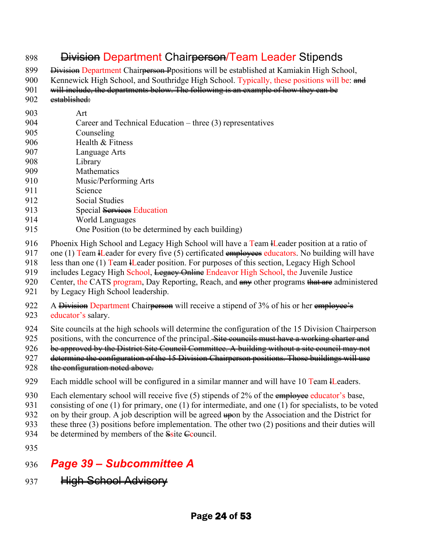### 898 <del>Division</del> Department Chair<del>person</del>/Team Leader Stipends

899 <del>Division</del> Department Chair<del>person P</del>positions will be established at Kamiakin High School,

900 Kennewick High School, and Southridge High School. Typically, these positions will be: and

- 901 will include, the departments below. The following is an example of how they can be
- 902 established:
- 903 Art
- 904 Career and Technical Education three (3) representatives
- 905 Counseling
- 906 Health & Fitness
- 907 Language Arts
- 908 Library
- 909 Mathematics 910 Music/Performing Arts
- 911 Science
- 
- 912 Social Studies
- 913 Special Services Education
- 914 World Languages
- 915 One Position (to be determined by each building)
- 916 Phoenix High School and Legacy High School will have a Team Header position at a ratio of
- 917 one (1) Team H Leader for every five (5) certificated  $\frac{amply}{2}$  educators. No building will have
- 918 less than one (1) Team H Leader position. For purposes of this section, Legacy High School
- 919 includes Legacy High School, Legacy Online Endeavor High School, the Juvenile Justice
- 920 Center, the CATS program, Day Reporting, Reach, and  $\frac{1}{2}$  and  $\frac{1}{2}$  other programs that are administered
- 921 by Legacy High School leadership.
- 922 A Division Department Chairperson will receive a stipend of 3% of his or her employee's 923 educator's salary.
- 924 Site councils at the high schools will determine the configuration of the 15 Division Chairperson
- 925 positions, with the concurrence of the principal. Site councils must have a working charter and
- 926 be approved by the District Site Council Committee. A building without a site council may not
- 927 determine the configuration of the 15 Division Chairperson positions. Those buildings will use
- 928 the configuration noted above.
- 929 Each middle school will be configured in a similar manner and will have 10 Team Headers.
- 930 Each elementary school will receive five  $(5)$  stipends of 2% of the employee educator's base,
- 931 consisting of one (1) for primary, one (1) for intermediate, and one (1) for specialists, to be voted
- 932 on by their group. A job description will be agreed upon by the Association and the District for
- 933 these three (3) positions before implementation. The other two (2) positions and their duties will
- 934 be determined by members of the  $S$ site  $C$ council.
- 935
- 936 *Page 39 Subcommittee A*
- 937 High School Advisory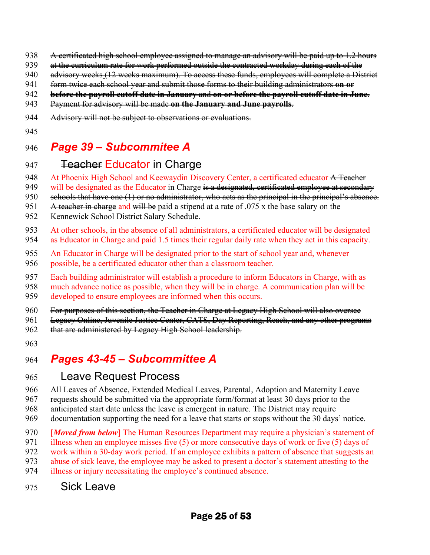- 938 A certificated high school employee assigned to manage an advisory will be paid up to 1.2 hours
- 939 at the curriculum rate for work performed outside the contracted workday during each of the
- 940 advisory weeks (12 weeks maximum). To access these funds, employees will complete a District
- 941 form twice each school year and submit those forms to their building administrators **on or**
- 942 **before the payroll cutoff date in January** and **on or before the payroll cutoff date in June**.
- 943 Payment for advisory will be made **on the January and June payrolls**.
- 944 Advisory will not be subject to observations or evaluations.
- 945

# 946 *Page 39 – Subcommitee A*

# 947 **Teacher Educator in Charge**

- 948 At Phoenix High School and Keewaydin Discovery Center, a certificated educator A Teacher
- 949 will be designated as the Educator in Charge is a designated, certificated employee at secondary
- 950 schools that have one (1) or no administrator, who acts as the principal in the principal's absence.
- 951 A teacher in charge and will be paid a stipend at a rate of  $.075$  x the base salary on the
- 952 Kennewick School District Salary Schedule.
- 953 At other schools, in the absence of all administrators, a certificated educator will be designated
- 954 as Educator in Charge and paid 1.5 times their regular daily rate when they act in this capacity.
- 955 An Educator in Charge will be designated prior to the start of school year and, whenever 956 possible, be a certificated educator other than a classroom teacher.
- 957 Each building administrator will establish a procedure to inform Educators in Charge, with as
- 958 much advance notice as possible, when they will be in charge. A communication plan will be
- 959 developed to ensure employees are informed when this occurs.
- 960 For purposes of this section, the Teacher in Charge at Legacy High School will also oversee
- 961 Legacy Online, Juvenile Justice Center, CATS, Day Reporting, Reach, and any other programs
- 962 that are administered by Legacy High School leadership.
- 963

# 964 *Pages 43-45 – Subcommittee A*

### 965 Leave Request Process

- 966 All Leaves of Absence, Extended Medical Leaves, Parental, Adoption and Maternity Leave
- 967 requests should be submitted via the appropriate form/format at least 30 days prior to the
- 968 anticipated start date unless the leave is emergent in nature. The District may require
- 969 documentation supporting the need for a leave that starts or stops without the 30 days' notice.
- 970 [*Moved from below*] The Human Resources Department may require a physician's statement of
- 971 illness when an employee misses five (5) or more consecutive days of work or five (5) days of
- 972 work within a 30-day work period. If an employee exhibits a pattern of absence that suggests an
- 973 abuse of sick leave, the employee may be asked to present a doctor's statement attesting to the
- 974 illness or injury necessitating the employee's continued absence.
- 975 Sick Leave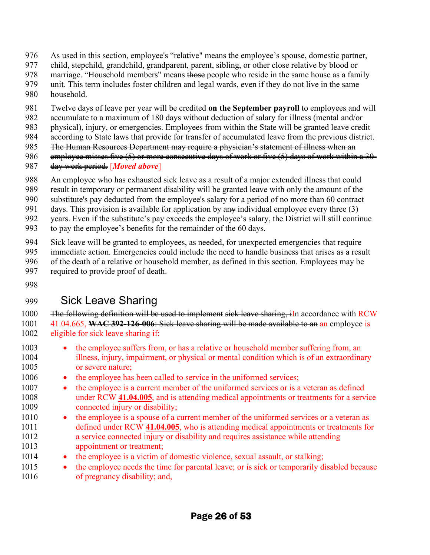- 976 As used in this section, employee's "relative" means the employee's spouse, domestic partner,
- 977 child, stepchild, grandchild, grandparent, parent, sibling, or other close relative by blood or
- 978 marriage. "Household members" means those people who reside in the same house as a family
- 979 unit. This term includes foster children and legal wards, even if they do not live in the same 980 household.
- 981 Twelve days of leave per year will be credited **on the September payroll** to employees and will
- 982 accumulate to a maximum of 180 days without deduction of salary for illness (mental and/or
- 983 physical), injury, or emergencies. Employees from within the State will be granted leave credit
- 984 according to State laws that provide for transfer of accumulated leave from the previous district.
- 985 Fhe Human Resources Department may require a physician's statement of illness when an
- 986 employee misses five (5) or more consecutive days of work or five (5) days of work within a 30-
- 987 day work period. [*Moved above*]
- 988 An employee who has exhausted sick leave as a result of a major extended illness that could
- 989 result in temporary or permanent disability will be granted leave with only the amount of the
- 990 substitute's pay deducted from the employee's salary for a period of no more than 60 contract
- 991 days. This provision is available for application by an  $\ast$  individual employee every three (3)
- 992 years. Even if the substitute's pay exceeds the employee's salary, the District will still continue
- 993 to pay the employee's benefits for the remainder of the 60 days.
- 994 Sick leave will be granted to employees, as needed, for unexpected emergencies that require
- 995 immediate action. Emergencies could include the need to handle business that arises as a result
- 996 of the death of a relative or household member, as defined in this section. Employees may be
- 997 required to provide proof of death.
- 998

# 999 Sick Leave Sharing

- 1000 The following definition will be used to implement sick leave sharing, in accordance with RCW 1001 41.04.665, **WAC 392-126-006**: Sick leave sharing will be made available to an an employee is 1002 eligible for sick leave sharing if:
- 1003 the employee suffers from, or has a relative or household member suffering from, an 1004 illness, injury, impairment, or physical or mental condition which is of an extraordinary 1005 or severe nature;
- 1006 the employee has been called to service in the uniformed services;
- 1007 the employee is a current member of the uniformed services or is a veteran as defined 1008 under RCW **[41.04.005](http://app.leg.wa.gov/RCW/default.aspx?cite=41.04.005)**, and is attending medical appointments or treatments for a service 1009 connected injury or disability;
- 1010 the employee is a spouse of a current member of the uniformed services or a veteran as 1011 defined under RCW **[41.04.005](http://app.leg.wa.gov/RCW/default.aspx?cite=41.04.005)**, who is attending medical appointments or treatments for 1012 a service connected injury or disability and requires assistance while attending 1013 appointment or treatment;
- 1014 the employee is a victim of domestic violence, sexual assault, or stalking;
- 1015 the employee needs the time for parental leave; or is sick or temporarily disabled because 1016 of pregnancy disability; and,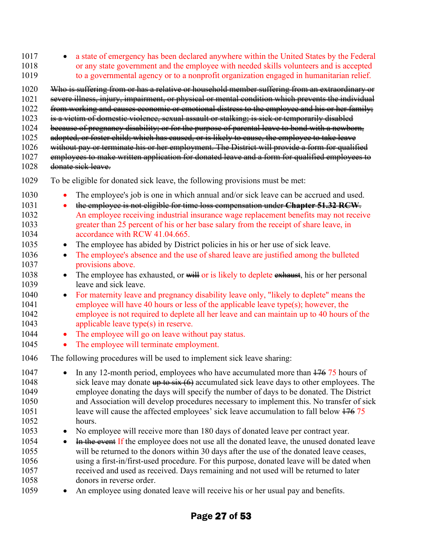1017 • a state of emergency has been declared anywhere within the United States by the Federal 1018 or any state government and the employee with needed skills volunteers and is accepted 1019 to a governmental agency or to a nonprofit organization engaged in humanitarian relief.

- 1020 Who is suffering from or has a relative or household member suffering from an extraordinary or 1021 severe illness, injury, impairment, or physical or mental condition which prevents the individual
- 1022 from working and causes economic or emotional distress to the employee and his or her family;
- 1023 is a victim of domestic violence, sexual assault or stalking; is sick or temporarily disabled
- 1024 because of pregnancy disability; or for the purpose of parental leave to bond with a newborn,
- 1025 adopted, or foster child; which has caused, or is likely to cause, the employee to take leave
- 1026 without pay or terminate his or her employment. The District will provide a form for qualified
- 1027 employees to make written application for donated leave and a form for qualified employees to
- 1028 donate sick leave.
- 1029 To be eligible for donated sick leave, the following provisions must be met:
- 1030 The employee's job is one in which annual and/or sick leave can be accrued and used.
- 1031 the employee is not eligible for time loss compensation under **Chapter 51.32 RCW**. 1032 An employee receiving industrial insurance wage replacement benefits may not receive 1033 greater than 25 percent of his or her base salary from the receipt of share leave, in 1034 accordance with RCW 41.04.665.
- 1035 The employee has abided by District policies in his or her use of sick leave.
- 1036 The employee's absence and the use of shared leave are justified among the bulleted 1037 **provisions above.**
- 1038 The employee has exhausted, or will or is likely to deplete exhaust, his or her personal 1039 leave and sick leave.
- 1040 For maternity leave and pregnancy disability leave only, "likely to deplete" means the 1041 employee will have 40 hours or less of the applicable leave type(s); however, the 1042 employee is not required to deplete all her leave and can maintain up to 40 hours of the 1043 applicable leave type(s) in reserve.
- 1044 The employee will go on leave without pay status.
- 1045 The employee will terminate employment.
- 1046 The following procedures will be used to implement sick leave sharing:
- 1047 In any 12-month period, employees who have accumulated more than  $\frac{176}{75}$  hours of 1048 sick leave may donate  $\frac{1048}{1000}$  accumulated sick leave days to other employees. The 1049 employee donating the days will specify the number of days to be donated. The District 1050 and Association will develop procedures necessary to implement this. No transfer of sick 1051 leave will cause the affected employees' sick leave accumulation to fall below  $\frac{176}{75}$ 1052 hours.
- 1053 No employee will receive more than 180 days of donated leave per contract year.
- 1054 <del>In the event</del> If the employee does not use all the donated leave, the unused donated leave 1055 will be returned to the donors within 30 days after the use of the donated leave ceases, 1056 using a first-in/first-used procedure. For this purpose, donated leave will be dated when 1057 received and used as received. Days remaining and not used will be returned to later 1058 donors in reverse order.
- 1059 An employee using donated leave will receive his or her usual pay and benefits.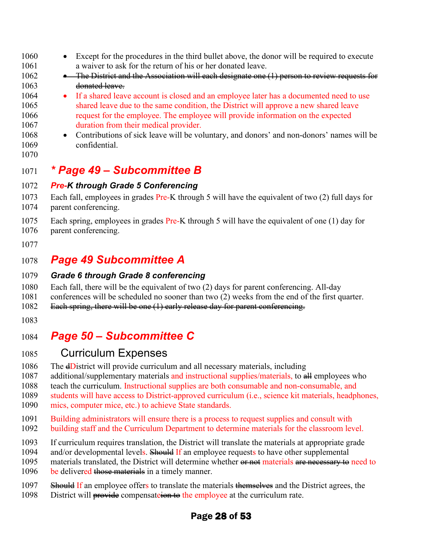- 1060 Except for the procedures in the third bullet above, the donor will be required to execute 1061 a waiver to ask for the return of his or her donated leave.
- 1062 The District and the Association will each designate one (1) person to review requests for 1063 donated leave.
- 1064 If a shared leave account is closed and an employee later has a documented need to use 1065 shared leave due to the same condition, the District will approve a new shared leave 1066 request for the employee. The employee will provide information on the expected 1067 duration from their medical provider.
- 1068 Contributions of sick leave will be voluntary, and donors' and non-donors' names will be 1069 confidential.
- 1070

### 1071 *\* Page 49 – Subcommittee B*

#### 1072 *Pre-K through Grade 5 Conferencing*

1073 Each fall, employees in grades Pre-K through 5 will have the equivalent of two (2) full days for 1074 parent conferencing.

- 1075 Each spring, employees in grades Pre-K through 5 will have the equivalent of one (1) day for 1076 parent conferencing.
- 1077

### 1078 *Page 49 Subcommittee A*

#### 1079 *Grade 6 through Grade 8 conferencing*

- 1080 Each fall, there will be the equivalent of two (2) days for parent conferencing. All-day
- 1081 conferences will be scheduled no sooner than two (2) weeks from the end of the first quarter.
- 1082 Each spring, there will be one (1) early release day for parent conferencing.
- 1083

# 1084 *Page 50 – Subcommittee C*

### 1085 Curriculum Expenses

- 1086 The **dD**istrict will provide curriculum and all necessary materials, including
- 1087 additional/supplementary materials and instructional supplies/materials, to all employees who
- 1088 teach the curriculum. Instructional supplies are both consumable and non-consumable, and

1089 students will have access to District-approved curriculum (i.e., science kit materials, headphones,

- 1090 mics, computer mice, etc.) to achieve State standards.
- 1091 Building administrators will ensure there is a process to request supplies and consult with
- 1092 building staff and the Curriculum Department to determine materials for the classroom level.
- 1093 If curriculum requires translation, the District will translate the materials at appropriate grade
- 1094 and/or developmental levels. Should If an employee requests to have other supplemental
- 1095 materials translated, the District will determine whether or not materials are necessary to need to
- 1096 be delivered those materials in a timely manner.
- 1097 Should If an employee offers to translate the materials themselves and the District agrees, the
- 1098 District will **provide** compensate is the employee at the curriculum rate.

### Page 28 of 53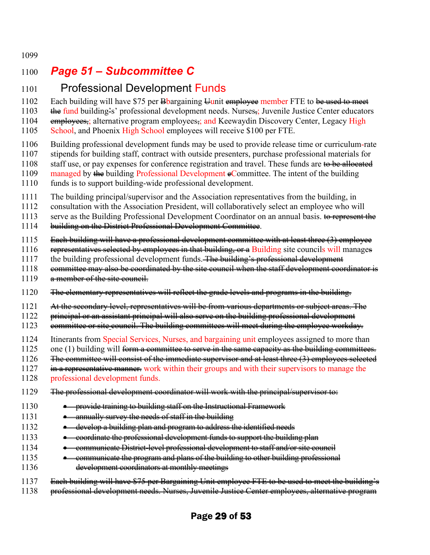1099

# 1100 *Page 51 – Subcommittee C*

### 1101 Professional Development Funds

1102 Each building will have \$75 per  $\frac{1}{2}$  Boargaining  $\frac{1}{2}$ unit employee member FTE to be used to meet

1103 the fund building's' professional development needs. Nurses<sub>i</sub>; Juvenile Justice Center educators 1104 employees,; alternative program employees,; and Keewaydin Discovery Center, Legacy High

1105 School, and Phoenix High School employees will receive \$100 per FTE.

- 1106 Building professional development funds may be used to provide release time or curriculum-rate
- 1107 stipends for building staff, contract with outside presenters, purchase professional materials for
- 1108 staff use, or pay expenses for conference registration and travel. These funds are to be allocated
- 1109 managed by the building Professional Development  $e$ Committee. The intent of the building
- 1110 funds is to support building-wide professional development.
- 1111 The building principal/supervisor and the Association representatives from the building, in
- 1112 consultation with the Association President, will collaboratively select an employee who will

1113 serve as the Building Professional Development Coordinator on an annual basis. to represent the

- 1114 building on the District Professional Development Committee.
- 1115 Each building will have a professional development committee with at least three (3) employee
- 1116 representatives selected by employees in that building, or a Building site councils will manages
- 1117 the building professional development funds. The building's professional development
- 1118 **committee may also be coordinated by the site council when the staff development coordinator is**
- 1119 a member of the site council.
- 1120 The elementary representatives will reflect the grade levels and programs in the building.
- 1121 At the secondary level, representatives will be from various departments or subject areas. The
- 1122 principal or an assistant principal will also serve on the building professional development
- 1123 eommittee or site council. The building committees will meet during the employee workday.
- 1124 Itinerants from Special Services, Nurses, and bargaining unit employees assigned to more than
- 1125 one (1) building will <del>form a committee to serve in the same capacity as the building committees.</del>
- 1126 The committee will consist of the immediate supervisor and at least three (3) employees selected
- 1127 in a representative manner. work within their groups and with their supervisors to manage the
- 1128 professional development funds.
- 1129 The professional development coordinator will work with the principal/supervisor to:
- 1130 provide training to building staff on the Instructional Framework
- 1131 annually survey the needs of staff in the building
- 1132 develop a building plan and program to address the identified needs
- 1133 coordinate the professional development funds to support the building plan
- 1134 communicate District-level professional development to staff and/or site council
- 1135 **•** communicate the program and plans of the building to other building professional
- 1136 development coordinators at monthly meetings
- 1137 Each building will have \$75 per Bargaining Unit employee FTE to be used to meet the building's
- 1138 professional development needs. Nurses, Juvenile Justice Center employees, alternative program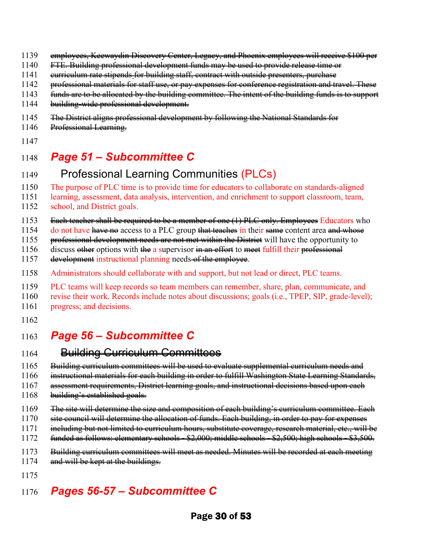- 1139 employees, Keewaydin Discovery Center, Legacy, and Phoenix employees will receive \$100 per
- 1140 FTE. Building professional development funds may be used to provide release time or
- 1141 curriculum rate stipends for building staff, contract with outside presenters, purchase
- 1142 professional materials for staff use, or pay expenses for conference registration and travel. These
- 1143 funds are to be allocated by the building committee. The intent of the building funds is to support
- 1144 building-wide professional development.
- 1145 The District aligns professional development by following the National Standards for
- 1146 Professional Learning.
- 1147

### 1148 *Page 51 – Subcommittee C*

### 1149 Professional Learning Communities (PLCs)

1150 The purpose of PLC time is to provide time for educators to collaborate on standards-aligned

- 1151 learning, assessment, data analysis, intervention, and enrichment to support classroom, team, 1152 school, and District goals.
- 1153 Each teacher shall be required to be a member of one (1) PLC only. Employees Educators who

1154 do not have have no access to a PLC group that teaches in their same content area and whose

1155 professional development needs are not met within the District will have the opportunity to

1156 discuss other options with the a supervisor in an effort to meet fulfill their professional

- 1157 development instructional planning needs of the employee.
- 1158 Administrators should collaborate with and support, but not lead or direct, PLC teams.
- 1159 PLC teams will keep records so team members can remember, share, plan, communicate, and
- 1160 revise their work. Records include notes about discussions; goals (i.e., TPEP, SIP, grade-level);
- 1161 progress; and decisions.
- 1162

# 1163 *Page 56 – Subcommittee C*

#### 1164 **Building Curriculum Committees**

1165 Building curriculum committees will be used to evaluate supplemental curriculum needs and

1166 instructional materials for each building in order to fulfill Washington State Learning Standards,

1167 assessment requirements, District learning goals, and instructional decisions based upon each

- 1168 building's established goals.
- 1169 Fhe site will determine the size and composition of each building's curriculum committee. Each
- 1170 site council will determine the allocation of funds. Each building, in order to pay for expenses
- 1171 including but not limited to curriculum hours, substitute coverage, research material, etc., will be
- 1172 funded as follows: elementary schools \$2,000; middle schools \$2,500; high schools \$3,500.
- 1173 Building curriculum committees will meet as needed. Minutes will be recorded at each meeting
- 1174 and will be kept at the buildings.
- 1175

# 1176 *Pages 56-57 – Subcommittee C*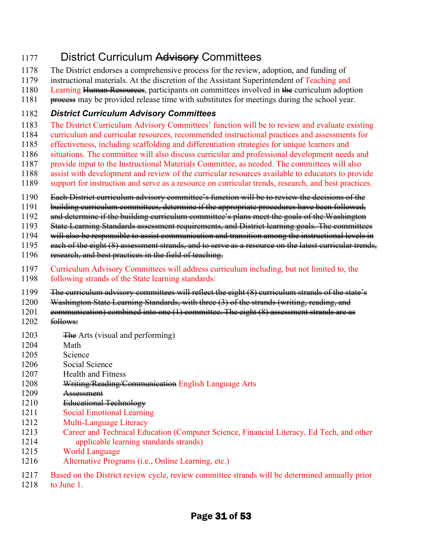# 1177 District Curriculum Advisery Committees

- 1178 The District endorses a comprehensive process for the review, adoption, and funding of
- 1179 instructional materials. At the discretion of the Assistant Superintendent of Teaching and
- 1180 Learning Human Resources, participants on committees involved in the curriculum adoption
- 1181 <del>process</del> may be provided release time with substitutes for meetings during the school year.

### 1182 *District Curriculum Advisory Committees*

- 1183 The District Curriculum Advisory Committees' function will be to review and evaluate existing
- 1184 curriculum and curricular resources, recommended instructional practices and assessments for
- 1185 effectiveness, including scaffolding and differentiation strategies for unique learners and
- 1186 situations. The committee will also discuss curricular and professional development needs and
- 1187 provide input to the Instructional Materials Committee, as needed. The committees will also 1188 assist with development and review of the curricular resources available to educators to provide
- 1189 support for instruction and serve as a resource on curricular trends, research, and best practices.
- 1190 Each District curriculum advisory committee's function will be to review the decisions of the
- 1191 building curriculum committees, determine if the appropriate procedures have been followed,
- 1192 and determine if the building curriculum committee's plans meet the goals of the Washington
- 1193 State Learning Standards assessment requirements, and District learning goals. The committees
- 1194 will also be responsible to assist communication and transition among the instructional levels in
- 1195 each of the eight (8) assessment strands, and to serve as a resource on the latest curricular trends,
- 1196 research, and best practices in the field of teaching.
- 1197 Curriculum Advisory Committees will address curriculum including, but not limited to, the
- 1198 following strands of the State learning standards:
- 1199 The curriculum advisory committees will reflect the eight (8) curriculum strands of the state's
- 1200 Washington State Learning Standards, with three (3) of the strands (writing, reading, and
- 1201 communication) combined into one (1) committee. The eight (8) assessment strands are as
- 1202 follows:
- 1203  $\frac{1203}{\text{He}}$  Arts (visual and performing)
- 1204 Math
- 1205 Science
- 1206 Social Science
- 1207 Health and Fitness
- 1208 Writing/Reading/Communication English Language Arts
- 1209 Assessment
- 1210 Educational Technology
- 1211 Social Emotional Learning
- 1212 Multi-Language Literacy
- 1213 Career and Technical Education (Computer Science, Financial Literacy, Ed Tech, and other 1214 applicable learning standards strands)
- 1215 World Language
- 1216 Alternative Programs (i.e., Online Learning, etc.)
- 1217 Based on the District review cycle, review committee strands will be determined annually prior
- 1218 to June 1.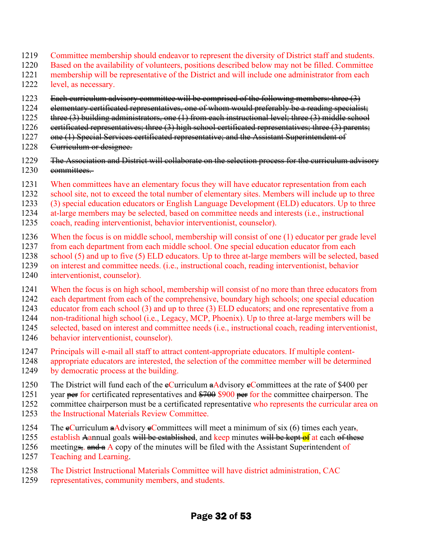- 1219 Committee membership should endeavor to represent the diversity of District staff and students.
- 1220 Based on the availability of volunteers, positions described below may not be filled. Committee
- 1221 membership will be representative of the District and will include one administrator from each 1222 level, as necessary.
- 1223 Each curriculum advisory committee will be comprised of the following members: three (3)
- 1224 elementary certificated representatives, one of whom would preferably be a reading specialist;
- 1225 three (3) building administrators, one (1) from each instructional level; three (3) middle school
- 1226 eertificated representatives; three (3) high school certificated representatives; three (3) parents;
- 1227 one (1) Special Services certificated representative; and the Assistant Superintendent of
- 1228 <del>Curriculum or designee.</del>
- 1229 The Association and District will collaborate on the selection process for the curriculum advisory<br>1230 committees. eommittees.
- 1231 When committees have an elementary focus they will have educator representation from each
- 1232 school site, not to exceed the total number of elementary sites. Members will include up to three
- 1233 (3) special education educators or English Language Development (ELD) educators. Up to three
- 1234 at-large members may be selected, based on committee needs and interests (i.e., instructional
- 1235 coach, reading interventionist, behavior interventionist, counselor).
- 1236 When the focus is on middle school, membership will consist of one (1) educator per grade level
- 1237 from each department from each middle school. One special education educator from each
- 1238 school (5) and up to five (5) ELD educators. Up to three at-large members will be selected, based
- 1239 on interest and committee needs. (i.e., instructional coach, reading interventionist, behavior 1240 interventionist, counselor).
- 1241 When the focus is on high school, membership will consist of no more than three educators from
- 1242 each department from each of the comprehensive, boundary high schools; one special education
- 1243 educator from each school (3) and up to three (3) ELD educators; and one representative from a
- 1244 non-traditional high school (i.e., Legacy, MCP, Phoenix). Up to three at-large members will be
- 1245 selected, based on interest and committee needs (i.e., instructional coach, reading interventionist,
- 1246 behavior interventionist, counselor).
- 1247 Principals will e-mail all staff to attract content-appropriate educators. If multiple content-
- 1248 appropriate educators are interested, the selection of the committee member will be determined 1249 by democratic process at the building.
- 1250 The District will fund each of the  $e$ Curriculum  $a$ Advisory  $e$ Committees at the rate of \$400 per
- 1251 year per for certificated representatives and \$700 \$900 per for the committee chairperson. The
- 1252 committee chairperson must be a certificated representative who represents the curricular area on
- 1253 the Instructional Materials Review Committee.
- 1254 The  $\epsilon$ Curriculum  $\epsilon$ Advisory  $\epsilon$ Committees will meet a minimum of six (6) times each year.
- 1255 establish Aannual goals will be established, and keep minutes will be kept of at each of these
- 1256 meeting<del>s, and a</del> A copy of the minutes will be filed with the Assistant Superintendent of 1257 Teaching and Learning.
- 1258 The District Instructional Materials Committee will have district administration, CAC
- 1259 representatives, community members, and students.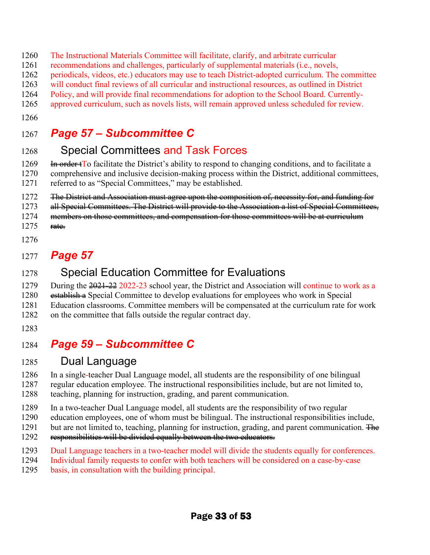- 1260 The Instructional Materials Committee will facilitate, clarify, and arbitrate curricular
- 1261 recommendations and challenges, particularly of supplemental materials (i.e., novels,
- 1262 periodicals, videos, etc.) educators may use to teach District-adopted curriculum. The committee
- 1263 will conduct final reviews of all curricular and instructional resources, as outlined in District
- 1264 Policy, and will provide final recommendations for adoption to the School Board. Currently-
- 1265 approved curriculum, such as novels lists, will remain approved unless scheduled for review.
- 1266

# 1267 *Page 57 – Subcommittee C*

# 1268 Special Committees and Task Forces

1269 In order to facilitate the District's ability to respond to changing conditions, and to facilitate a 1270 comprehensive and inclusive decision-making process within the District, additional committees, 1271 referred to as "Special Committees," may be established.

1272 The District and Association must agree upon the composition of, necessity for, and funding for

- 1273 all Special Committees. The District will provide to the Association a list of Special Committees,
- 1274 members on those committees, and compensation for those committees will be at curriculum
- $1275$  rate.
- 1276

# 1277 *Page 57*

# 1278 Special Education Committee for Evaluations

1279 During the 2021-22 2022-23 school year, the District and Association will continue to work as a

- 1280 establish a Special Committee to develop evaluations for employees who work in Special
- 1281 Education classrooms. Committee members will be compensated at the curriculum rate for work
- 1282 on the committee that falls outside the regular contract day.
- 1283

# 1284 *Page 59 – Subcommittee C*

### 1285 Dual Language

1286 In a single-teacher Dual Language model, all students are the responsibility of one bilingual 1287 regular education employee. The instructional responsibilities include, but are not limited to, 1288 teaching, planning for instruction, grading, and parent communication.

- 1289 In a two-teacher Dual Language model, all students are the responsibility of two regular
- 1290 education employees, one of whom must be bilingual. The instructional responsibilities include,
- 1291 but are not limited to, teaching, planning for instruction, grading, and parent communication.  $\overline{H}$
- 1292 responsibilities will be divided equally between the two educators.
- 1293 Dual Language teachers in a two-teacher model will divide the students equally for conferences.
- 1294 Individual family requests to confer with both teachers will be considered on a case-by-case
- 1295 basis, in consultation with the building principal.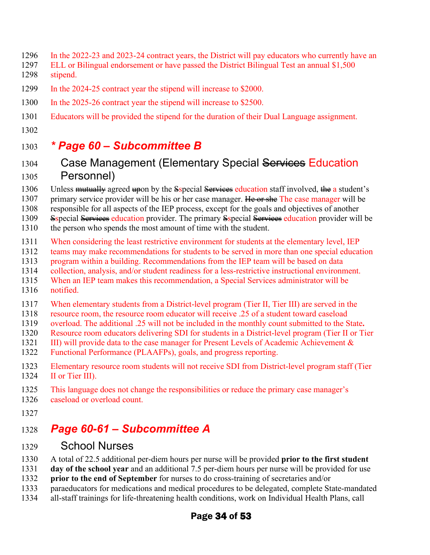- 1296 In the 2022-23 and 2023-24 contract years, [the District](https://nam11.safelinks.protection.outlook.com/?url=https%3A%2F%2Fwww.lawinsider.com%2Fdictionary%2Fbilingual-stipend&data=05%7C01%7Crob.woodford%40washingtonea.org%7C2cf07afa0c4d465cf30108da2ee560fe%7Cc51bd6ee3b224c0ba0fdfc3c3d347ca7%7C0%7C0%7C637873860092943927%7CUnknown%7CTWFpbGZsb3d8eyJWIjoiMC4wLjAwMDAiLCJQIjoiV2luMzIiLCJBTiI6Ik1haWwiLCJXVCI6Mn0%3D%7C2000%7C%7C%7C&sdata=NYTxHBwlbKCPXlAZRkUqiFrWA53zz%2Fuf1lKCdBrmtTc%3D&reserved=0) will pay educators who currently have an
- 1297 ELL or Bilingual endorsement or have passed the District Bilingual Test an annual \$1,500 1298 stipend.
- 1299 In the 2024-25 contract year the stipend will increase to \$2000.
- 1300 In the 2025-26 contract year the stipend will increase to \$2500.
- 1301 Educators will be provided the stipend for the duration of their Dual Language assignment.
- 1302

# 1303 *\* Page 60 – Subcommittee B*

### 1304 Case Management (Elementary Special Services Education 1305 Personnel)

1306 Unless mutually agreed upon by the Sspecial Services education staff involved, the a student's

- 1307 primary service provider will be his or her case manager. He or she The case manager will be
- 1308 responsible for all aspects of the IEP process, except for the goals and objectives of another
- 1309 Sspecial Services education provider. The primary Sspecial Services education provider will be
- 1310 the person who spends the most amount of time with the student.
- 1311 When considering the least restrictive environment for students at the elementary level, IEP
- 1312 teams may make recommendations for students to be served in more than one special education
- 1313 program within a building. Recommendations from the IEP team will be based on data<br>1314 collection, analysis, and/or student readiness for a less-restrictive instructional environn
- 1314 collection, analysis, and/or student readiness for a less-restrictive instructional environment.
- 1315 When an IEP team makes this recommendation, a Special Services administrator will be 1316 notified.
- 
- 1317 When elementary students from a District-level program (Tier II, Tier III) are served in the
- 1318 resource room, the resource room educator will receive .25 of a student toward caseload
- 1319 overload. The additional .25 will not be included in the monthly count submitted to the State**.**
- 1320 Resource room educators delivering SDI for students in a District-level program (Tier II or Tier 1321 III) will provide data to the case manager for Present Levels of Academic Achievement &
- 1322 Functional Performance (PLAAFPs), goals, and progress reporting.
- 1323 Elementary resource room students will not receive SDI from District-level program staff (Tier 1324 II or Tier III). II or Tier III).
- 1325 This language does not change the responsibilities or reduce the primary case manager's
- 1326 caseload or overload count.
- 1327

# 1328 *Page 60-61 – Subcommittee A*

- 1329 School Nurses
- 1330 A total of 22.5 additional per-diem hours per nurse will be provided **prior to the first student**
- 1331 **day of the school year** and an additional 7.5 per-diem hours per nurse will be provided for use
- 1332 **prior to the end of September** for nurses to do cross-training of secretaries and/or
- 1333 paraeducators for medications and medical procedures to be delegated, complete State-mandated
- 1334 all-staff trainings for life-threatening health conditions, work on Individual Health Plans, call

### Page 34 of 53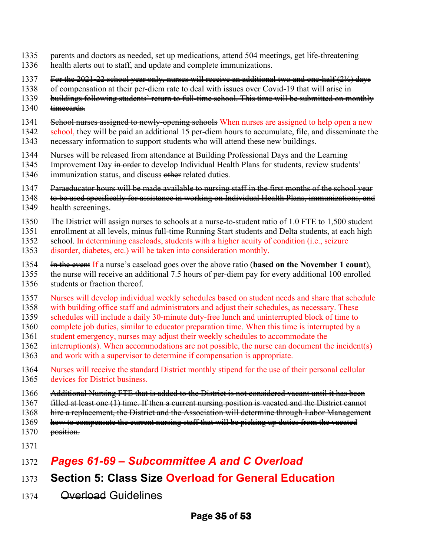- 1335 parents and doctors as needed, set up medications, attend 504 meetings, get life-threatening
- 1336 health alerts out to staff, and update and complete immunizations.
- 1337 For the 2021-22 school year only, nurses will receive an additional two and one-half (2½) days
- 1338 of compensation at their per-diem rate to deal with issues over Covid-19 that will arise in
- 1339 buildings following students' return to full-time school. This time will be submitted on monthly
- 1340 timecards.
- 1341 School nurses assigned to newly-opening schools When nurses are assigned to help open a new
- 1342 school, they will be paid an additional 15 per-diem hours to accumulate, file, and disseminate the 1343 necessary information to support students who will attend these new buildings.
- 1344 Nurses will be released from attendance at Building Professional Days and the Learning
- 1345 Improvement Day in order to develop Individual Health Plans for students, review students'
- 1346 immunization status, and discuss other related duties.
- 1347 Paraeducator hours will be made available to nursing staff in the first months of the school year
- 1348 to be used specifically for assistance in working on Individual Health Plans, immunizations, and
- 1349 health sereenings.
- 1350 The District will assign nurses to schools at a nurse-to-student ratio of 1.0 FTE to 1,500 student
- 1351 enrollment at all levels, minus full-time Running Start students and Delta students, at each high
- 1352 school. In determining caseloads, students with a higher acuity of condition (i.e., seizure
- 1353 disorder, diabetes, etc.) will be taken into consideration monthly.
- 1354 In the event If a nurse's caseload goes over the above ratio (**based on the November 1 count**),
- 1355 the nurse will receive an additional 7.5 hours of per-diem pay for every additional 100 enrolled 1356 students or fraction thereof.
- 1357 Nurses will develop individual weekly schedules based on student needs and share that schedule
- 1358 with building office staff and administrators and adjust their schedules, as necessary. These
- 1359 schedules will include a daily 30-minute duty-free lunch and uninterrupted block of time to
- 1360 complete job duties, similar to educator preparation time. When this time is interrupted by a
- 1361 student emergency, nurses may adjust their weekly schedules to accommodate the
- 1362 interruption(s). When accommodations are not possible, the nurse can document the incident(s)
- 1363 and work with a supervisor to determine if compensation is appropriate.
- 1364 Nurses will receive the standard District monthly stipend for the use of their personal cellular 1365 devices for District business.
- 1366 Additional Nursing FTE that is added to the District is not considered vacant until it has been
- 1367 filled at least one (1) time. If then a current nursing position is vacated and the District cannot
- 1368 hire a replacement, the District and the Association will determine through Labor Management
- 1369 how to compensate the current nursing staff that will be picking up duties from the vacated
- 1370 position.
- 1371

# 1372 *Pages 61-69 – Subcommittee A and C Overload*

- 1373 **Section 5: Class Size Overload for General Education**
- 1374 <del>Overload</del> Guidelines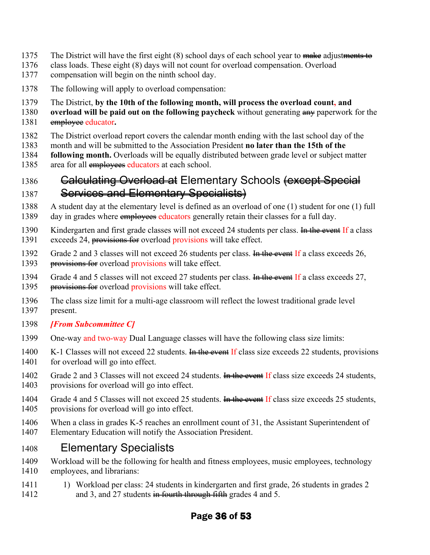- 1375 The District will have the first eight (8) school days of each school year to make adjustments to
- 1376 class loads. These eight (8) days will not count for overload compensation. Overload
- 1377 compensation will begin on the ninth school day.
- 1378 The following will apply to overload compensation:
- 1379 The District, **by the 10th of the following month, will process the overload count, and**
- 1380 **overload will be paid out on the following paycheck** without generating any paperwork for the 1381 employee educator**.**
- 1382 The District overload report covers the calendar month ending with the last school day of the
- 1383 month and will be submitted to the Association President **no later than the 15th of the**
- 1384 **following month.** Overloads will be equally distributed between grade level or subject matter
- 1385 area for all employees educators at each school.

### 1386 **Calculating Overload at Elementary Schools <del>(except Special</del>** 1387 Services and Elementary Specialists)

- 1388 A student day at the elementary level is defined as an overload of one (1) student for one (1) full
- 1389 day in grades where employees educators generally retain their classes for a full day.
- 1390 Kindergarten and first grade classes will not exceed 24 students per class. In the event If a class
- 1391 exceeds 24, provisions for overload provisions will take effect.
- 1392 Grade 2 and 3 classes will not exceed 26 students per class. In the event If a class exceeds 26, 1393 provisions for overload provisions will take effect.
- 1394 Grade 4 and 5 classes will not exceed 27 students per class. In the event If a class exceeds 27, 1395 provisions for overload provisions will take effect.
- 1396 The class size limit for a multi-age classroom will reflect the lowest traditional grade level 1397 present.
- 1398 *[From Subcommittee C]*
- 1399 One-way and two-way Dual Language classes will have the following class size limits:
- 1400 K-1 Classes will not exceed 22 students. In the event If class size exceeds 22 students, provisions 1401 for overload will go into effect.
- 1402 Grade 2 and 3 Classes will not exceed 24 students. In the event If class size exceeds 24 students, 1403 provisions for overload will go into effect.
- 1404 Grade 4 and 5 Classes will not exceed 25 students. In the event If class size exceeds 25 students, 1405 provisions for overload will go into effect.
- 1406 When a class in grades K-5 reaches an enrollment count of 31, the Assistant Superintendent of 1407 Elementary Education will notify the Association President.

### 1408 Elementary Specialists

- 1409 Workload will be the following for health and fitness employees, music employees, technology 1410 employees, and librarians:
- 1411 1911 1) Workload per class: 24 students in kindergarten and first grade, 26 students in grades 2 1412 and 3, and 27 students in fourth through fifth grades 4 and 5.

### Page 36 of 53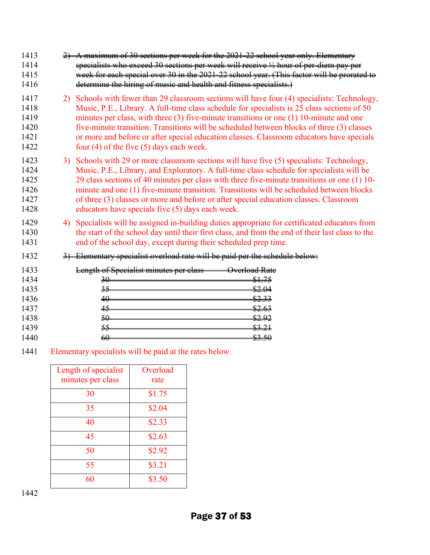| 1413<br>1414<br>1415<br>1416                 | A maximum of 30 sections per week for the 2021-22 school year only. Elementary<br>specialists who exceed 30 sections per week will receive 1/2 hour of per-diem pay per<br>week for each special over 30 in the 2021-22 school year. (This factor will be prorated to<br>determine the hiring of music and health and fitness specialists.)                                                                                                                                                                                        |
|----------------------------------------------|------------------------------------------------------------------------------------------------------------------------------------------------------------------------------------------------------------------------------------------------------------------------------------------------------------------------------------------------------------------------------------------------------------------------------------------------------------------------------------------------------------------------------------|
| 1417<br>1418<br>1419<br>1420<br>1421<br>1422 | 2) Schools with fewer than 29 classroom sections will have four (4) specialists: Technology,<br>Music, P.E., Library. A full-time class schedule for specialists is 25 class sections of 50<br>minutes per class, with three $(3)$ five-minute transitions or one $(1)$ 10-minute and one<br>five-minute transition. Transitions will be scheduled between blocks of three (3) classes<br>or more and before or after special education classes. Classroom educators have specials<br>four $(4)$ of the five $(5)$ days each week. |
| 1423<br>1424<br>1425<br>1426<br>1427<br>1428 | 3) Schools with 29 or more classroom sections will have five (5) specialists: Technology,<br>Music, P.E., Library, and Exploratory. A full-time class schedule for specialists will be<br>29 class sections of 40 minutes per class with three five-minute transitions or one (1) 10-<br>minute and one (1) five-minute transition. Transitions will be scheduled between blocks<br>of three (3) classes or more and before or after special education classes. Classroom<br>educators have specials five (5) days each week.      |
| 1429<br>1430<br>1431                         | 4) Specialists will be assigned in-building duties appropriate for certificated educators from<br>the start of the school day until their first class, and from the end of their last class to the<br>end of the school day, except during their scheduled prep time.                                                                                                                                                                                                                                                              |
| 1432                                         | 3) Elementary specialist overload rate will be paid per the schedule below:                                                                                                                                                                                                                                                                                                                                                                                                                                                        |
| 1433<br>1434<br>1435<br>1436<br>1437         | Length of Specialist minutes per class<br>Overload Rate<br><del>\$1.75</del><br>$\overline{30}$<br>\$2.04<br>35<br>\$2.33<br>40<br>\$2.63<br>45                                                                                                                                                                                                                                                                                                                                                                                    |
| 1438<br>1439<br>1440                         | 50<br><u>82.92</u><br>\$3.21<br>55<br>\$3.50<br>$60-$                                                                                                                                                                                                                                                                                                                                                                                                                                                                              |

1441 Elementary specialists will be paid at the rates below.

| Length of specialist<br>minutes per class | Overload<br>rate |
|-------------------------------------------|------------------|
| 30                                        | \$1.75           |
| 35                                        | \$2.04           |
| 40                                        | \$2.33           |
| 45                                        | \$2.63           |
| 50                                        | \$2.92           |
| 55                                        | \$3.21           |
| 60                                        | \$3.50           |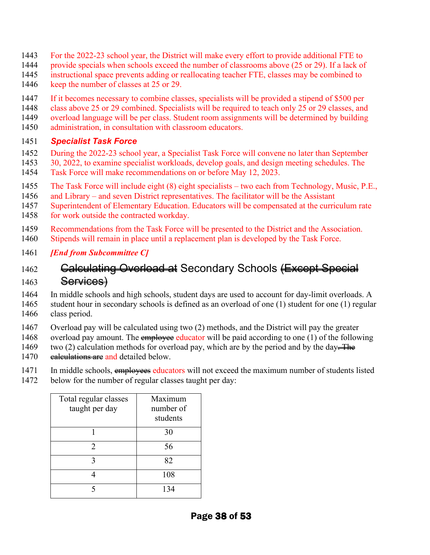- 1443 For the 2022-23 school year, the District will make every effort to provide additional FTE to
- 1444 provide specials when schools exceed the number of classrooms above (25 or 29). If a lack of
- 1445 instructional space prevents adding or reallocating teacher FTE, classes may be combined to
- 1446 keep the number of classes at 25 or 29.
- 1447 If it becomes necessary to combine classes, specialists will be provided a stipend of \$500 per
- 1448 class above 25 or 29 combined. Specialists will be required to teach only 25 or 29 classes, and
- 1449 overload language will be per class. Student room assignments will be determined by building
- 1450 administration, in consultation with classroom educators.

#### 1451 *Specialist Task Force*

- 1452 During the 2022-23 school year, a Specialist Task Force will convene no later than September
- 1453 30, 2022, to examine specialist workloads, develop goals, and design meeting schedules. The
- 1454 Task Force will make recommendations on or before May 12, 2023.
- 1455 The Task Force will include eight (8) eight specialists two each from Technology, Music, P.E.,
- 1456 and Library and seven District representatives. The facilitator will be the Assistant
- 1457 Superintendent of Elementary Education. Educators will be compensated at the curriculum rate
- 1458 for work outside the contracted workday.
- 1459 Recommendations from the Task Force will be presented to the District and the Association.
- 1460 Stipends will remain in place until a replacement plan is developed by the Task Force.
- 1461 *[End from Subcommittee C]*

### 1462 Galculating Overload at Secondary Schools (Except Special  $1463$  Services)

1464 In middle schools and high schools, student days are used to account for day-limit overloads. A 1465 student hour in secondary schools is defined as an overload of one (1) student for one (1) regular 1466 class period.

- 1467 Overload pay will be calculated using two (2) methods, and the District will pay the greater
- 1468 overload pay amount. The employee educator will be paid according to one (1) of the following 1469 two (2) calculation methods for overload pay, which are by the period and by the day. The 1470 ealeulations are and detailed below.
- 1471 In middle schools, employees educators will not exceed the maximum number of students listed
- 1472 below for the number of regular classes taught per day:

| Total regular classes<br>taught per day | Maximum<br>number of<br>students |
|-----------------------------------------|----------------------------------|
|                                         | 30                               |
| 2                                       | 56                               |
| 3                                       | 82                               |
|                                         | 108                              |
|                                         | 134                              |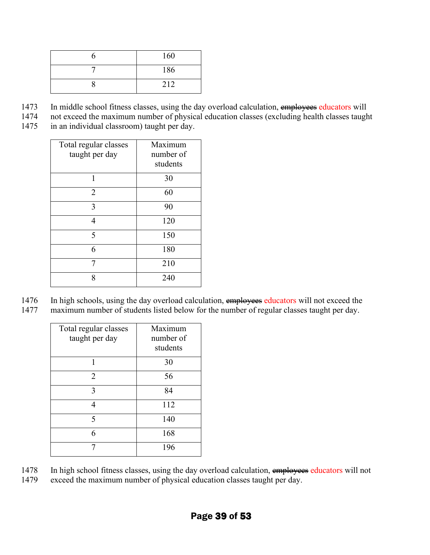| 160 |
|-----|
| 186 |
| 212 |

- 1473 In middle school fitness classes, using the day overload calculation, employees educators will<br>1474 not exceed the maximum number of physical education classes (excluding health classes taught
- not exceed the maximum number of physical education classes (excluding health classes taught
- 1475 in an individual classroom) taught per day.

| Total regular classes | Maximum   |
|-----------------------|-----------|
| taught per day        | number of |
|                       | students  |
| 1                     | 30        |
| $\overline{2}$        | 60        |
| 3                     | 90        |
| 4                     | 120       |
| 5                     | 150       |
| 6                     | 180       |
| 7                     | 210       |
| 8                     | 240       |

1476 In high schools, using the day overload calculation, employees educators will not exceed the 1477 maximum number of students listed below for the number of regular classes taught per day.

| Total regular classes<br>taught per day | Maximum<br>number of<br>students |
|-----------------------------------------|----------------------------------|
| 1                                       | 30                               |
| $\overline{2}$                          | 56                               |
| 3                                       | 84                               |
|                                         | 112                              |
| 5                                       | 140                              |
| 6                                       | 168                              |
| 7                                       | 196                              |

- 1478 In high school fitness classes, using the day overload calculation, employees educators will not
- 1479 exceed the maximum number of physical education classes taught per day.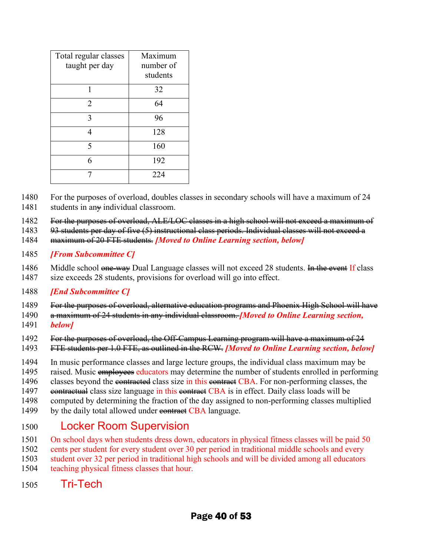| Total regular classes<br>taught per day | Maximum<br>number of<br>students |
|-----------------------------------------|----------------------------------|
|                                         | 32                               |
| 2                                       | 64                               |
| 3                                       | 96                               |
|                                         | 128                              |
| 5                                       | 160                              |
| 6                                       | 192                              |
|                                         | 224                              |

1480 For the purposes of overload, doubles classes in secondary schools will have a maximum of 24

1481 students in an  $\ast$  individual classroom.

1482 For the purposes of overload, ALE/LOC classes in a high school will not exceed a maximum of

1483 93 students per day of five (5) instructional class periods. Individual classes will not exceed a

1484 maximum of 20 FTE students. *[Moved to Online Learning section, below]* 

1485 *[From Subcommittee C]*

1486 Middle school one-way Dual Language classes will not exceed 28 students. In the event If class

- 1487 size exceeds 28 students, provisions for overload will go into effect.
- 1488 *[End Subcommittee C]*

1489 For the purposes of overload, alternative education programs and Phoenix High School will have

1490 a maximum of 24 students in any individual classroom. *[Moved to Online Learning section,* 

1491 *below]*

1492 For the purposes of overload, the Off-Campus Learning program will have a maximum of 24

1493 FTE students per 1.0 FTE, as outlined in the RCW. *[Moved to Online Learning section, below]*

1494 In music performance classes and large lecture groups, the individual class maximum may be

- 1495 raised. Music employees educators may determine the number of students enrolled in performing
- 1496 classes beyond the contracted class size in this contract CBA. For non-performing classes, the
- 1497 eontractual class size language in this contract CBA is in effect. Daily class loads will be
- 1498 computed by determining the fraction of the day assigned to non-performing classes multiplied
- 1499 by the daily total allowed under contract CBA language.

# 1500 Locker Room Supervision

1501 On school days when students dress down, educators in physical fitness classes will be paid 50

1502 cents per student for every student over 30 per period in traditional middle schools and every

- 1503 student over 32 per period in traditional high schools and will be divided among all educators
- 1504 teaching physical fitness classes that hour.
- 1505 Tri-Tech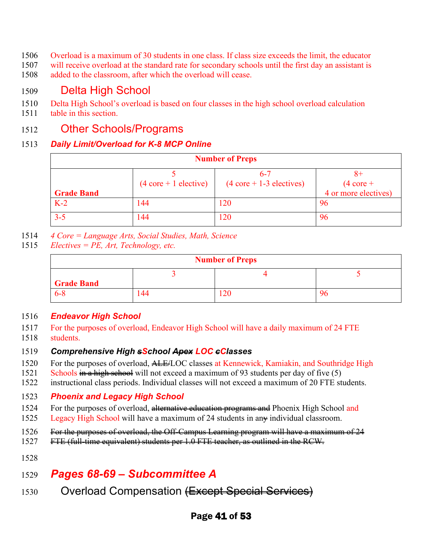- 1506 Overload is a maximum of 30 students in one class. If class size exceeds the limit, the educator
- 1507 will receive overload at the standard rate for secondary schools until the first day an assistant is
- 1508 added to the classroom, after which the overload will cease.

### 1509 Delta High School

- 1510 Delta High School's overload is based on four classes in the high school overload calculation
- 1511 table in this section.

### 1512 Other Schools/Programs

#### 1513 *Daily Limit/Overload for K-8 MCP Online*

| <b>Number of Preps</b> |                                         |                                                        |                                             |
|------------------------|-----------------------------------------|--------------------------------------------------------|---------------------------------------------|
| <b>Grade Band</b>      | $(4 \text{ core} + 1 \text{ electric})$ | $6 - 7$<br>$(4 \text{ core} + 1-3 \text{ electrodes})$ | $(4 \text{ core} +$<br>4 or more electives) |
| $K-2$                  | 144                                     | 120                                                    | 96                                          |
| $3 - 5$                | 144                                     | 120                                                    | 96                                          |

- 1514 *4 Core = Language Arts, Social Studies, Math, Science*
- 1515 *Electives = PE, Art, Technology, etc.*

| <b>Number of Preps</b> |     |     |    |
|------------------------|-----|-----|----|
| <b>Grade Band</b>      |     |     |    |
| $6 - 8$                | 144 | .20 | 96 |

#### 1516 *Endeavor High School*

- 1517 For the purposes of overload, Endeavor High School will have a daily maximum of 24 FTE
- 1518 students.

#### 1519 *Comprehensive High sSchool Apex LOC cClasses*

- 1520 For the purposes of overload, ALE/LOC classes at Kennewick, Kamiakin, and Southridge High
- 1521 Schools in a high school will not exceed a maximum of 93 students per day of five (5)
- 1522 instructional class periods. Individual classes will not exceed a maximum of 20 FTE students.

#### 1523 *Phoenix and Legacy High School*

- 1524 For the purposes of overload, alternative education programs and Phoenix High School and
- 1525 Legacy High School will have a maximum of 24 students in any individual classroom.
- 1526 For the purposes of overload, the Off-Campus Learning program will have a maximum of 24
- 1527 FTE (full-time equivalent) students per 1.0 FTE teacher, as outlined in the RCW.
- 1528

# 1529 *Pages 68-69 – Subcommittee A*

1530 Overload Compensation (Except Special Services)

### Page 41 of 53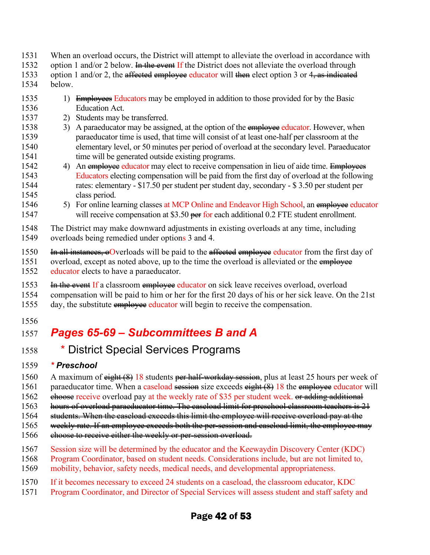- 1531 When an overload occurs, the District will attempt to alleviate the overload in accordance with
- 1532 option 1 and/or 2 below. <del>In the event</del> If the District does not alleviate the overload through
- 1533 option 1 and/or 2, the affected employee educator will then elect option 3 or  $4\frac{1}{2}$  as indicated
- 1534 below.
- 1535 1) Employees Educators may be employed in addition to those provided for by the Basic 1536 Education Act.
- 1537 2) Students may be transferred.
- 1538 3) A paraeducator may be assigned, at the option of the employee educator. However, when 1539 paraeducator time is used, that time will consist of at least one-half per classroom at the 1540 elementary level, or 50 minutes per period of overload at the secondary level. Paraeducator 1541 time will be generated outside existing programs.
- 1542 4) An employee educator may elect to receive compensation in lieu of aide time. Employees 1543 Educators electing compensation will be paid from the first day of overload at the following 1544 rates: elementary - \$17.50 per student per student day, secondary - \$ 3.50 per student per 1545 class period.
- 1546 5) For online learning classes at MCP Online and Endeavor High School, an employee educator 1547 will receive compensation at \$3.50 per for each additional 0.2 FTE student enrollment.
- 1548 The District may make downward adjustments in existing overloads at any time, including 1549 overloads being remedied under options 3 and 4.
- 1550 In all instances, oOverloads will be paid to the affected employee educator from the first day of
- 1551 overload, except as noted above, up to the time the overload is alleviated or the employee 1552 educator elects to have a paraeducator.
- 1553 In the event If a classroom employee educator on sick leave receives overload, overload
- 1554 compensation will be paid to him or her for the first 20 days of his or her sick leave. On the 21st
- 1555 day, the substitute employee educator will begin to receive the compensation.
- 1556

# 1557 *Pages 65-69 – Subcommittees B and A*

1558 \* District Special Services Programs

#### 1559 *\* Preschool*

- 1560 A maximum of eight (8) 18 students per half-workday session, plus at least 25 hours per week of
- 1561 paraeducator time. When a caseload session size exceeds eight (8) 18 the employee educator will
- 1562 ehoose receive overload pay at the weekly rate of \$35 per student week. or adding additional
- 1563 hours of overload paraeducator time. The caseload limit for preschool classroom teachers is 21
- 1564 students. When the caseload exceeds this limit the employee will receive overload pay at the
- 1565 weekly rate. If an employee exceeds both the per-session and caseload limit, the employee may
- 1566 ehoose to receive either the weekly or per-session overload.
- 1567 Session size will be determined by the educator and the Keewaydin Discovery Center (KDC)
- 1568 Program Coordinator, based on student needs. Considerations include, but are not limited to,
- 1569 mobility, behavior, safety needs, medical needs, and developmental appropriateness.
- 1570 If it becomes necessary to exceed 24 students on a caseload, the classroom educator, KDC
- 1571 Program Coordinator, and Director of Special Services will assess student and staff safety and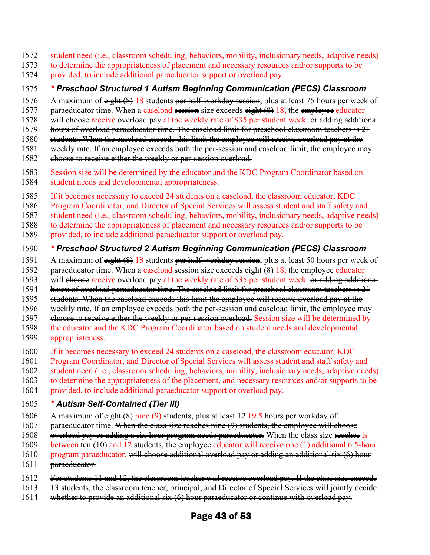- 1572 student need (i.e., classroom scheduling, behaviors, mobility, inclusionary needs, adaptive needs)
- 1573 to determine the appropriateness of placement and necessary resources and/or supports to be
- 1574 provided, to include additional paraeducator support or overload pay.

#### 1575 *\* Preschool Structured 1 Autism Beginning Communication (PECS) Classroom*

- 1576 A maximum of eight (8) 18 students per half-workday session, plus at least 75 hours per week of
- 1577 paraeducator time. When a caseload session size exceeds eight (8) 18, the employee educator
- 1578 will choose receive overload pay at the weekly rate of \$35 per student week. <del>or adding additional</del>
- 1579 hours of overload paraeducator time. The caseload limit for preschool classroom teachers is 21
- 1580 students. When the caseload exceeds this limit the employee will receive overload pay at the
- 1581 weekly rate. If an employee exceeds both the per-session and caseload limit, the employee may
- 1582 ehoose to receive either the weekly or per-session overload.
- 1583 Session size will be determined by the educator and the KDC Program Coordinator based on
- 1584 student needs and developmental appropriateness.
- 1585 If it becomes necessary to exceed 24 students on a caseload, the classroom educator, KDC
- 1586 Program Coordinator, and Director of Special Services will assess student and staff safety and
- 1587 student need (i.e., classroom scheduling, behaviors, mobility, inclusionary needs, adaptive needs)
- 1588 to determine the appropriateness of placement and necessary resources and/or supports to be
- 1589 provided, to include additional paraeducator support or overload pay.

#### 1590 *\* Preschool Structured 2 Autism Beginning Communication (PECS) Classroom*

- 1591 A maximum of eight (8) 18 students per half-workday session, plus at least 50 hours per week of
- 1592 paraeducator time. When a caseload session size exceeds eight (8) 18, the employee educator
- 1593 will choose receive overload pay at the weekly rate of \$35 per student week. or adding additional
- 1594 hours of overload paraeducator time. The caseload limit for preschool classroom teachers is 21
- 1595 students. When the caseload exceeds this limit the employee will receive overload pay at the
- 1596 weekly rate. If an employee exceeds both the per-session and caseload limit, the employee may
- 1597 ehoose to receive either the weekly or per-session overload. Session size will be determined by
- 1598 the educator and the KDC Program Coordinator based on student needs and developmental 1599 appropriateness.
- 1600 If it becomes necessary to exceed 24 students on a caseload, the classroom educator, KDC
- 1601 Program Coordinator, and Director of Special Services will assess student and staff safety and
- 1602 student need (i.e., classroom scheduling, behaviors, mobility, inclusionary needs, adaptive needs)
- 1603 to determine the appropriateness of the placement, and necessary resources and/or supports to be
- 1604 provided, to include additional paraeducator support or overload pay.

#### 1605 *\* Autism Self-Contained (Tier III)*

- 1606 A maximum of  $\frac{eightharpoonup}{eightharpoonup}$  at  $(9)$  students, plus at least  $\frac{12}{19.5}$  hours per workday of
- 1607 paraeducator time. When the class size reaches nine (9) students, the employee will choose
- 1608 overload pay or adding a six-hour program needs paraeducator. When the class size reaches is
- 1609 between ten (10) and 12 students, the employee educator will receive one (1) additional 6.5-hour
- 1610 program paraeducator. will choose additional overload pay or adding an additional six (6) hour
- 1611 <del>paraeducator.</del>
- 1612 For students 11 and 12, the classroom teacher will receive overload pay. If the class size exceeds
- 1613 <del>13 students, the classroom teacher, principal, and Director of Special Services will jointly decide</del>
- 1614 whether to provide an additional six (6) hour paraeducator or continue with overload pay.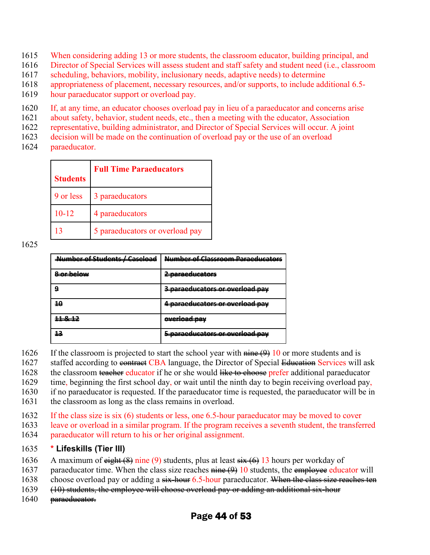- 1615 When considering adding 13 or more students, the classroom educator, building principal, and
- 1616 Director of Special Services will assess student and staff safety and student need (i.e., classroom
- 1617 scheduling, behaviors, mobility, inclusionary needs, adaptive needs) to determine
- 1618 appropriateness of placement, necessary resources, and/or supports, to include additional 6.5-
- 1619 hour paraeducator support or overload pay.
- 1620 If, at any time, an educator chooses overload pay in lieu of a paraeducator and concerns arise
- 1621 about safety, behavior, student needs, etc., then a meeting with the educator, Association
- 1622 representative, building administrator, and Director of Special Services will occur. A joint
- 1623 decision will be made on the continuation of overload pay or the use of an overload
- 1624 paraeducator.

| <b>Students</b> | <b>Full Time Paraeducators</b>  |
|-----------------|---------------------------------|
| 9 or less       | 3 paraeducators                 |
| $10 - 12$       | 4 paraeducators                 |
|                 | 5 paraeducators or overload pay |

#### 1625

| Number of Ctudents / Caseload<br>----------<br>___ | Number of Classroom Daragelycat                   |
|----------------------------------------------------|---------------------------------------------------|
| سوامط ممرف                                         | naraadusatars<br>______________________           |
| о                                                  | paraoducators or overload pay                     |
|                                                    | paraoducators or overload pay                     |
| <b>11 0 17</b><br>----                             | بروم اموم ایرمبرم<br>____________________________ |
|                                                    | naraadusatars ar avarlaad nav                     |

1626 If the classroom is projected to start the school year with  $\frac{\text{time}(9)}{10}$  or more students and is

1627 staffed according to contract CBA language, the Director of Special Education Services will ask

1628 the classroom teacher educator if he or she would like to choose prefer additional paraeducator

1629 time, beginning the first school day, or wait until the ninth day to begin receiving overload pay,

1630 if no paraeducator is requested. If the paraeducator time is requested, the paraeducator will be in

- 1631 the classroom as long as the class remains in overload.
- 1632 If the class size is six (6) students or less, one 6.5-hour paraeducator may be moved to cover
- 1633 leave or overload in a similar program. If the program receives a seventh student, the transferred 1634 paraeducator will return to his or her original assignment.

#### 1635 **\* Lifeskills (Tier III)**

- 1636 A maximum of  $\frac{eightharpoonup}{eightharpoonup}$  at  $(9)$  students, plus at least  $\frac{eightharpoonup}{eightharpoonup}$  13 hours per workday of
- 1637 paraeducator time. When the class size reaches  $\frac{\text{time}(9)}{10}$  students, the employee educator will
- 1638 choose overload pay or adding a six-hour 6.5-hour paraeducator. When the class size reaches ten
- 1639 (10) students, the employee will choose overload pay or adding an additional six-hour
- 1640 <del>paraeducator.</del>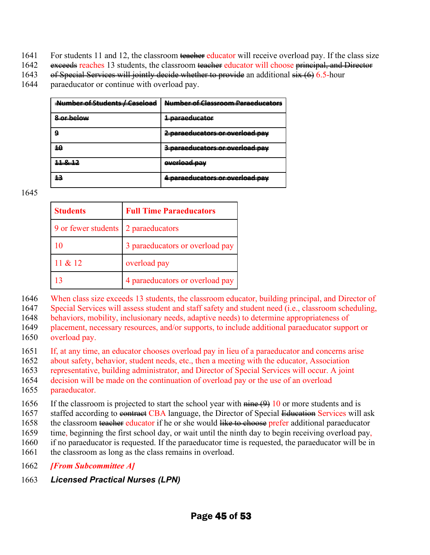- 1641 For students 11 and 12, the classroom teacher educator will receive overload pay. If the class size
- 1642 exceeds reaches 13 students, the classroom teacher educator will choose principal, and Director
- 1643 of Special Services will jointly decide whether to provide an additional  $\frac{\sin(6)}{6}$ . 5-hour
- 1644 paraeducator or continue with overload pay.

| sa af Cic (1)   | Вени<br>.<br>.                                                           |
|-----------------|--------------------------------------------------------------------------|
| -----------     | .<br>_________________                                                   |
| 9               | --------<br>- <b>POILS CORPORADIO</b> <del>OI</del><br><del>.</del><br>. |
| 10              | -naraeducators or overload nav                                           |
| <u> 11 8 12</u> | <u>overload nav</u>                                                      |
| 12              | <b>BARAARLIAATARA</b><br>AR AUARLAND BAU                                 |

1645

| <b>Students</b>     | <b>Full Time Paraeducators</b>  |  |
|---------------------|---------------------------------|--|
| 9 or fewer students | 2 paraeducators                 |  |
| 10                  | 3 paraeducators or overload pay |  |
| 11 & 212            | overload pay                    |  |
|                     | 4 paraeducators or overload pay |  |

1646 When class size exceeds 13 students, the classroom educator, building principal, and Director of

1647 Special Services will assess student and staff safety and student need (i.e., classroom scheduling,

1648 behaviors, mobility, inclusionary needs, adaptive needs) to determine appropriateness of

1649 placement, necessary resources, and/or supports, to include additional paraeducator support or 1650 overload pay.

1651 If, at any time, an educator chooses overload pay in lieu of a paraeducator and concerns arise

1652 about safety, behavior, student needs, etc., then a meeting with the educator, Association

1653 representative, building administrator, and Director of Special Services will occur. A joint

1654 decision will be made on the continuation of overload pay or the use of an overload 1655 paraeducator.

1656 If the classroom is projected to start the school year with  $\frac{\text{time}(9)}{10}$  or more students and is

1657 staffed according to contract CBA language, the Director of Special Education Services will ask

1658 the classroom teacher educator if he or she would like to choose prefer additional paraeducator

1659 time, beginning the first school day, or wait until the ninth day to begin receiving overload pay,

1660 if no paraeducator is requested. If the paraeducator time is requested, the paraeducator will be in

1661 the classroom as long as the class remains in overload.

1662 *[From Subcommittee A]*

1663 *Licensed Practical Nurses (LPN)*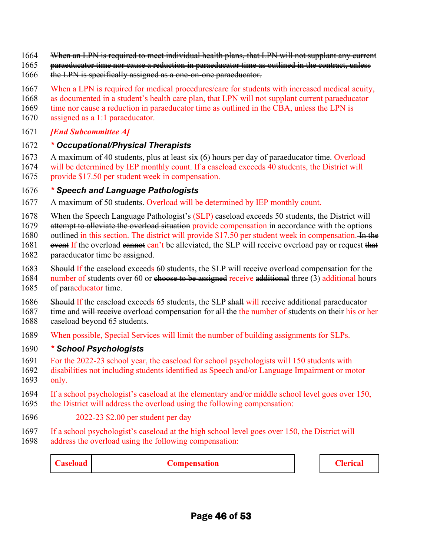- 1664 When an LPN is required to meet individual health plans, that LPN will not supplant any current
- 1665 paraeducator time nor cause a reduction in paraeducator time as outlined in the contract, unless
- 1666 the LPN is specifically assigned as a one-on-one paraeducator.
- 1667 When a LPN is required for medical procedures/care for students with increased medical acuity,
- 1668 as documented in a student's health care plan, that LPN will not supplant current paraeducator
- 1669 time nor cause a reduction in paraeducator time as outlined in the CBA, unless the LPN is
- 1670 assigned as a 1:1 paraeducator.
- 1671 *[End Subcommittee A]*

#### 1672 *\* Occupational/Physical Therapists*

- 1673 A maximum of 40 students, plus at least six (6) hours per day of paraeducator time. Overload
- 1674 will be determined by IEP monthly count. If a caseload exceeds 40 students, the District will
- 1675 provide \$17.50 per student week in compensation.

#### 1676 *\* Speech and Language Pathologists*

- 1677 A maximum of 50 students. Overload will be determined by IEP monthly count.
- 1678 When the Speech Language Pathologist's (SLP) caseload exceeds 50 students, the District will
- 1679 attempt to alleviate the overload situation provide compensation in accordance with the options
- 1680 outlined in this section. The district will provide \$17.50 per student week in compensation.  $\frac{1}{2}$  the
- 1681 event If the overload ean term is to alleviated, the SLP will receive overload pay or request that
- 1682 paraeducator time be assigned.
- 1683 Should If the caseload exceeds 60 students, the SLP will receive overload compensation for the
- 1684 number of students over 60 or choose to be assigned receive additional three (3) additional hours
- 1685 of paraeducator time.
- 1686 Should If the caseload exceeds 65 students, the SLP shall will receive additional paraeducator
- 1687 time and will receive overload compensation for all the the number of students on their his or her 1688 caseload beyond 65 students.
- 1689 When possible, Special Services will limit the number of building assignments for SLPs.

#### 1690 *\* School Psychologists*

- 1691 For the 2022-23 school year, the caseload for school psychologists will 150 students with
- 1692 disabilities not including students identified as Speech and/or Language Impairment or motor 1693 only.
- 1694 If a school psychologist's caseload at the elementary and/or middle school level goes over 150, 1695 the District will address the overload using the following compensation:
- 1696 2022-23 \$2.00 per student per day
- 1697 If a school psychologist's caseload at the high school level goes over 150, the District will
- 1698 address the overload using the following compensation:

**Caseload Compensation Compensation C Clerical**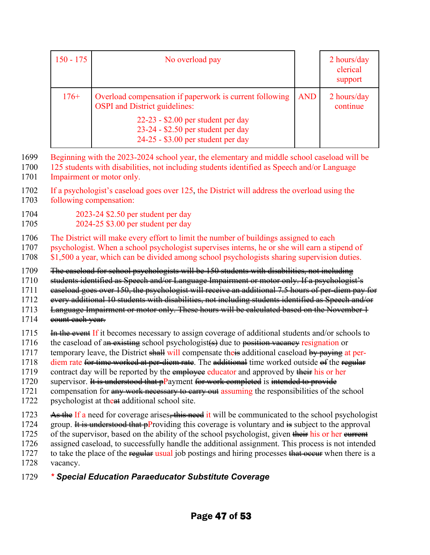| $150 - 175$ | No overload pay                                                                                                 |            | $2$ hours/day<br>clerical<br>support |
|-------------|-----------------------------------------------------------------------------------------------------------------|------------|--------------------------------------|
| $176+$      | Overload compensation if paperwork is current following<br><b>OSPI</b> and District guidelines:                 | <b>AND</b> | 2 hours/day<br>continue              |
|             | $22-23 - $2.00$ per student per day<br>23-24 - \$2.50 per student per day<br>24-25 - \$3.00 per student per day |            |                                      |

- 1699 Beginning with the 2023-2024 school year, the elementary and middle school caseload will be
- 1700 125 students with disabilities, not including students identified as Speech and/or Language 1701 Impairment or motor only.
- 1702 If a psychologist's caseload goes over 125, the District will address the overload using the 1703 following compensation:
- 1704 2023-24 \$2.50 per student per day
- 1705 2024-25 \$3.00 per student per day
- 1706 The District will make every effort to limit the number of buildings assigned to each
- 1707 psychologist. When a school psychologist supervises interns, he or she will earn a stipend of
- 1708 \$1,500 a year, which can be divided among school psychologists sharing supervision duties.
- 1709 The caseload for school psychologists will be 150 students with disabilities, not including
- 1710 students identified as Speech and/or Language Impairment or motor only. If a psychologist's
- 1711 caseload goes over 150, the psychologist will receive an additional 7.5 hours of per-diem pay for
- 1712 every additional 10 students with disabilities, not including students identified as Speech and/or
- 1713 Language Impairment or motor only. These hours will be calculated based on the November 1
- 1714 eount each year.
- 1715 In the event If it becomes necessary to assign coverage of additional students and/or schools to
- 1716 the caseload of an existing school psychologist( $\epsilon$ ) due to position vacancy resignation or
- 1717 temporary leave, the District shall will compensate their additional caseload by paying at per-
- 1718 diem rate for time worked at per-diem rate. The additional time worked outside of the regular
- 1719 contract day will be reported by the employee educator and approved by their his or her
- 1720 supervisor. It is understood that pPayment for work completed is intended to provide
- 1721 compensation for any work necessary to earry out assuming the responsibilities of the school
- 1722 psychologist at the at additional school site.
- 1723 As the If a need for coverage arises, this need it will be communicated to the school psychologist
- 1724 group. It is understood that pProviding this coverage is voluntary and is subject to the approval
- 1725 of the supervisor, based on the ability of the school psychologist, given their his or her eurrent
- 1726 assigned caseload, to successfully handle the additional assignment. This process is not intended
- 1727 to take the place of the regular usual job postings and hiring processes that occur when there is a 1728 vacancy.
- 

# 1729 *\* Special Education Paraeducator Substitute Coverage*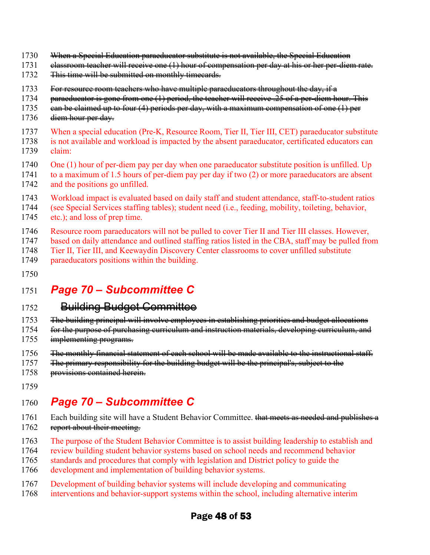- 1730 When a Special Education paraeducator substitute is not available, the Special Education
- 1731 elassroom teacher will receive one (1) hour of compensation per day at his or her per-diem rate.
- 1732 This time will be submitted on monthly timecards.
- 1733 For resource room teachers who have multiple paraeducators throughout the day, if a
- 1734 paraeducator is gone from one (1) period, the teacher will receive .25 of a per-diem hour. This
- 1735 ean be claimed up to four (4) periods per day, with a maximum compensation of one (1) per
- 1736 <del>diem hour per day.</del>
- 1737 When a special education (Pre-K, Resource Room, Tier II, Tier III, CET) paraeducator substitute
- 1738 is not available and workload is impacted by the absent paraeducator, certificated educators can 1739 claim:
- 1740 One (1) hour of per-diem pay per day when one paraeducator substitute position is unfilled. Up
- 1741 to a maximum of 1.5 hours of per-diem pay per day if two (2) or more paraeducators are absent 1742 and the positions go unfilled.
- 1743 Workload impact is evaluated based on daily staff and student attendance, staff-to-student ratios
- 1744 (see Special Services staffing tables); student need (i.e., feeding, mobility, toileting, behavior, 1745 etc.); and loss of prep time.
- - 1746 Resource room paraeducators will not be pulled to cover Tier II and Tier III classes. However,
	- 1747 based on daily attendance and outlined staffing ratios listed in the CBA, staff may be pulled from
	- 1748 Tier II, Tier III, and Keewaydin Discovery Center classrooms to cover unfilled substitute 1749 paraeducators positions within the building.
	- 1750

# 1751 *Page 70 – Subcommittee C*

### 1752 Building Budget Committee

- 1753 The building principal will involve employees in establishing priorities and budget allocations
- 1754 for the purpose of purchasing curriculum and instruction materials, developing curriculum, and
- 1755 implementing programs.
- 1756 The monthly financial statement of each school will be made available to the instructional staff.
- 1757 The primary responsibility for the building budget will be the principal's, subject to the
- 1758 provisions contained herein.
- 1759

# 1760 *Page 70 – Subcommittee C*

- 1761 Each building site will have a Student Behavior Committee. that meets as needed and publishes a 1762 report about their meeting.
- 1763 The purpose of the Student Behavior Committee is to assist building leadership to establish and
- 1764 review building student behavior systems based on school needs and recommend behavior
- 1765 standards and procedures that comply with legislation and District policy to guide the
- 1766 development and implementation of building behavior systems.
- 1767 Development of building behavior systems will include developing and communicating
- 1768 interventions and behavior-support systems within the school, including alternative interim

### Page 48 of 53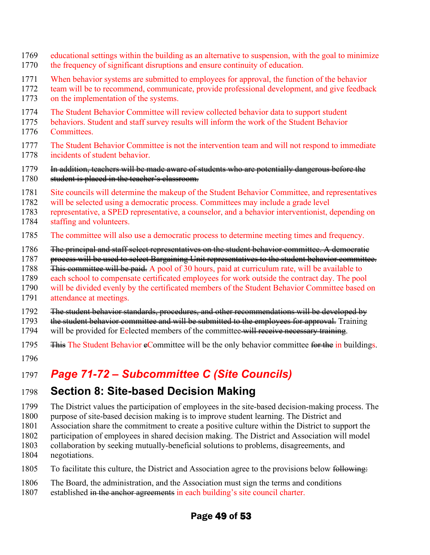- 1769 educational settings within the building as an alternative to suspension, with the goal to minimize
- 1770 the frequency of significant disruptions and ensure continuity of education.
- 1771 When behavior systems are submitted to employees for approval, the function of the behavior
- 1772 team will be to recommend, communicate, provide professional development, and give feedback
- 1773 on the implementation of the systems.
- 1774 The Student Behavior Committee will review collected behavior data to support student
- 1775 behaviors. Student and staff survey results will inform the work of the Student Behavior 1776 Committees.
- 1777 The Student Behavior Committee is not the intervention team and will not respond to immediate 1778 incidents of student behavior.

#### 1779 In addition, teachers will be made aware of students who are potentially dangerous before the 1780 student is placed in the teacher's classroom.

- 1781 Site councils will determine the makeup of the Student Behavior Committee, and representatives
- 1782 will be selected using a democratic process. Committees may include a grade level
- 1783 representative, a SPED representative, a counselor, and a behavior interventionist, depending on
- 1784 staffing and volunteers.
- 1785 The committee will also use a democratic process to determine meeting times and frequency.
- 1786 – <del>The principal and staff select representatives on the student behavior committee. A democratic 1787</del><br>1787 – <del>process will be used to select Bargaining Unit representatives to the student behavior committe</del>
- process will be used to select Bargaining Unit representatives to the student behavior committee.
- 1788 <del>This committee will be paid.</del> A pool of 30 hours, paid at curriculum rate, will be available to
- 1789 each school to compensate certificated employees for work outside the contract day. The pool
- 1790 will be divided evenly by the certificated members of the Student Behavior Committee based on 1791 attendance at meetings.
- 1792 The student behavior standards, procedures, and other recommendations will be developed by
- 1793 the student behavior committee and will be submitted to the employees for approval. Training
- 1794 will be provided for Eelected members of the committee-will receive necessary training.
- 1795 <del>This</del> The Student Behavior eCommittee will be the only behavior committee for the in buildings.
- 1796

# 1797 *Page 71-72 – Subcommittee C (Site Councils)*

# 1798 **Section 8: Site-based Decision Making**

- 1799 The District values the participation of employees in the site-based decision-making process. The
- 1800 purpose of site-based decision making is to improve student learning. The District and
- 1801 Association share the commitment to create a positive culture within the District to support the
- 1802 participation of employees in shared decision making. The District and Association will model
- 1803 collaboration by seeking mutually-beneficial solutions to problems, disagreements, and 1804 negotiations.
- 1805 To facilitate this culture, the District and Association agree to the provisions below following:
- 1806 The Board, the administration, and the Association must sign the terms and conditions
- 1807 established in the anchor agreements in each building's site council charter.

### Page 49 of 53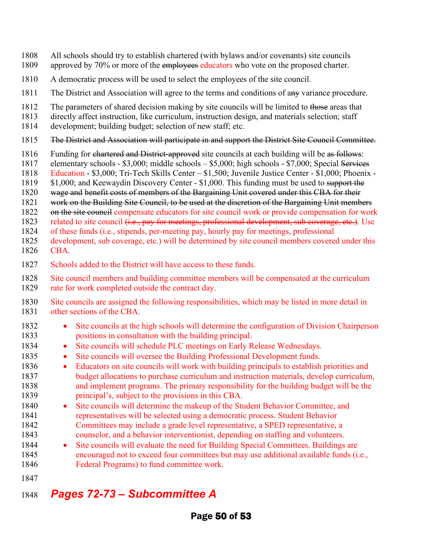- 1808 All schools should try to establish chartered (with bylaws and/or covenants) site councils
- 1809 approved by 70% or more of the employees educators who vote on the proposed charter.
- 1810 A democratic process will be used to select the employees of the site council.
- 1811 The District and Association will agree to the terms and conditions of any variance procedure.
- 1812 The parameters of shared decision making by site councils will be limited to those areas that
- 1813 directly affect instruction, like curriculum, instruction design, and materials selection; staff
- 1814 development; building budget; selection of new staff; etc.
- 1815 The District and Association will participate in and support the District Site Council Committee.
- 1816 Funding for chartered and District-approved site councils at each building will be as follows:
- 1817 elementary schools \$3,000; middle schools \$5,000; high schools \$7,000; Special Services
- 1818 Education \$3,000; Tri-Tech Skills Center \$1,500; Juvenile Justice Center \$1,000; Phoenix -
- 1819 \$1,000; and Keewaydin Discovery Center \$1,000. This funding must be used to support the
- 1820 wage and benefit costs of members of the Bargaining Unit covered under this CBA for their
- 1821 work on the Building Site Council, to be used at the discretion of the Bargaining Unit members
- 1822 on the site council compensate educators for site council work or provide compensation for work
- 1823 related to site council (i.e., pay for meetings, professional development, sub coverage, etc.). Use
- 1824 of these funds (i.e., stipends, per-meeting pay, hourly pay for meetings, professional
- 1825 development, sub coverage, etc.) will be determined by site council members covered under this 1826 CBA.
- 1827 Schools added to the District will have access to these funds.
- 1828 Site council members and building committee members will be compensated at the curriculum 1829 rate for work completed outside the contract day.
- 1830 Site councils are assigned the following responsibilities, which may be listed in more detail in 1831 other sections of the CBA.
- 1832 Site councils at the high schools will determine the configuration of Division Chairperson 1833 positions in consultation with the building principal.
- 1834 Site councils will schedule PLC meetings on Early Release Wednesdays.
- 1835 Site councils will oversee the Building Professional Development funds.
- 1836 Educators on site councils will work with building principals to establish priorities and 1837 budget allocations to purchase curriculum and instruction materials, develop curriculum, 1838 and implement programs. The primary responsibility for the building budget will be the 1839 principal's, subject to the provisions in this CBA.
- 1840 Site councils will determine the makeup of the Student Behavior Committee, and 1841 representatives will be selected using a democratic process. Student Behavior 1842 Committees may include a grade level representative, a SPED representative, a 1843 counselor, and a behavior interventionist, depending on staffing and volunteers.
- 1844 Site councils will evaluate the need for Building Special Committees. Buildings are 1845 encouraged not to exceed four committees but may use additional available funds (i.e., 1846 Federal Programs) to fund committee work.
- 1847

# 1848 *Pages 72-73 – Subcommittee A*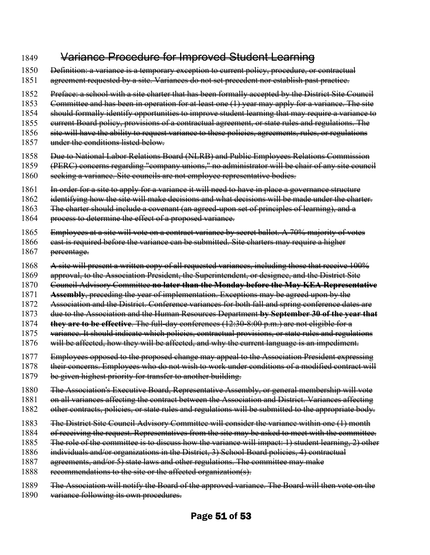#### 1849 Variance Procedure for Improved Student Learning

- 1850 <del>Definition: a variance is a temporary exception to current policy, procedure, or contractual</del>
- 1851 agreement requested by a site. Variances do not set precedent nor establish past practice.
- 1852 Preface: a school with a site charter that has been formally accepted by the District Site Council
- 1853 Gommittee and has been in operation for at least one (1) year may apply for a variance. The site
- 1854 should formally identify opportunities to improve student learning that may require a variance to
- 1855 eurrent Board policy, provisions of a contractual agreement, or state rules and regulations. The
- 1856 site will have the ability to request variance to these policies, agreements, rules, or regulations
- 1857 under the conditions listed below.
- 1858 Due to National Labor Relations Board (NLRB) and Public Employees Relations Commission
- 1859 (PERC) concerns regarding "company unions," no administrator will be chair of any site council
- 1860 seeking a variance. Site councils are not employee representative bodies.
- 1861 In order for a site to apply for a variance it will need to have in place a governance structure
- 1862 identifying how the site will make decisions and what decisions will be made under the charter.
- 1863 Fhe charter should include a covenant (an agreed-upon set of principles of learning), and a
- 1864 process to determine the effect of a proposed variance.
- 1865 Employees at a site will vote on a contract variance by secret ballot. A 70% majority of votes
- 1866 **cast is required before the variance can be submitted. Site charters may require a higher** 1867 <del>percentage.</del>
- 1868 A site will present a written copy of all requested variances, including those that receive 100%
- 1869 approval, to the Association President, the Superintendent, or designee, and the District Site
- 1870 Council Advisory Committee **no later than the Monday before the May KEA Representative**
- 1871 **Assembly**, preceding the year of implementation. Exceptions may be agreed upon by the
- 1872 Association and the District. Conference variances for both fall and spring conference dates are
- 1873 due to the Association and the Human Resources Department **by September 30 of the year that**
- 1874 **they are to be effective**. The full-day conferences (12:30-8:00 p.m.) are not eligible for a
- 1875 variance. It should indicate which policies, contractual provisions, or state rules and regulations
- 1876 will be affected, how they will be affected, and why the current language is an impediment.
- 1877 Employees opposed to the proposed change may appeal to the Association President expressing
- 1878 their concerns. Employees who do not wish to work under conditions of a modified contract will
- 1879 be given highest priority for transfer to another building.
- 1880 The Association's Executive Board, Representative Assembly, or general membership will vote
- 1881 on all variances affecting the contract between the Association and District. Variances affecting
- 1882 other contracts, policies, or state rules and regulations will be submitted to the appropriate body.
- 1883 The District Site Council Advisory Committee will consider the variance within one (1) month
- 1884 of receiving the request. Representatives from the site may be asked to meet with the committee.
- 1885 The role of the committee is to discuss how the variance will impact: 1) student learning, 2) other
- 1886 individuals and/or organizations in the District, 3) School Board policies, 4) contractual
- 1887 agreements, and/or 5) state laws and other regulations. The committee may make
- 1888 recommendations to the site or the affected organization(s).
- 1889 The Association will notify the Board of the approved variance. The Board will then vote on the
- 1890 variance following its own procedures.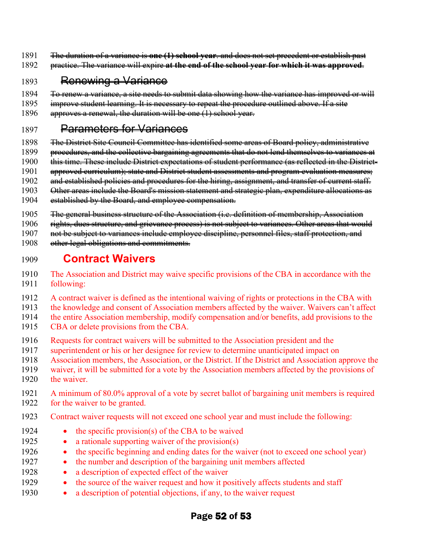- 1891 The duration of a variance is **one (1) school year**. and does not set precedent or establish past
- 1892 practice. The variance will expire **at the end of the school year for which it was approved**.

#### 1893 Renewing a Variance

- 1894 Fo renew a variance, a site needs to submit data showing how the variance has improved or will
- 1895 improve student learning. It is necessary to repeat the procedure outlined above. If a site
- 1896 approves a renewal, the duration will be one (1) school year.

#### 1897 **Parameters for Variances**

- 1898 The District Site Council Committee has identified some areas of Board policy, administrative
- 1899 procedures, and the collective bargaining agreements that do not lend themselves to variances at
- 1900 this time. These include District expectations of student performance (as reflected in the District-
- 1901 approved curriculum); state and District student assessments and program evaluation measures;
- 1902 and established policies and procedures for the hiring, assignment, and transfer of current staff.
- 1903 Qther areas include the Board's mission statement and strategic plan, expenditure allocations as
- 1904 established by the Board, and employee compensation.
- 1905 The general business structure of the Association (i.e. definition of membership, Association
- 1906 rights, dues structure, and grievance process) is not subject to variances. Other areas that would
- 1907 not be subject to variances include employee discipline, personnel files, staff protection, and
- 1908 other legal obligations and commitments.

### 1909 **Contract Waivers**

- 1910 The Association and District may waive specific provisions of the CBA in accordance with the
- 1911 following:
- 1912 A contract waiver is defined as the intentional waiving of rights or protections in the CBA with
- 1913 the knowledge and consent of Association members affected by the waiver. Waivers can't affect
- 1914 the entire Association membership, modify compensation and/or benefits, add provisions to the
- 1915 CBA or delete provisions from the CBA.
- 1916 Requests for contract waivers will be submitted to the Association president and the
- 1917 superintendent or his or her designee for review to determine unanticipated impact on
- 1918 Association members, the Association, or the District. If the District and Association approve the
- 1919 waiver, it will be submitted for a vote by the Association members affected by the provisions of 1920 the waiver.
- 1921 A minimum of 80.0% approval of a vote by secret ballot of bargaining unit members is required 1922 for the waiver to be granted.
- 1923 Contract waiver requests will not exceed one school year and must include the following:
- 1924 the specific provision(s) of the CBA to be waived
- 1925 a rationale supporting waiver of the provision(s)
- 1926 the specific beginning and ending dates for the waiver (not to exceed one school year)
- 1927 the number and description of the bargaining unit members affected
- 1928 a description of expected effect of the waiver
- 1929 the source of the waiver request and how it positively affects students and staff
- 1930 a description of potential objections, if any, to the waiver request

### Page 52 of 53